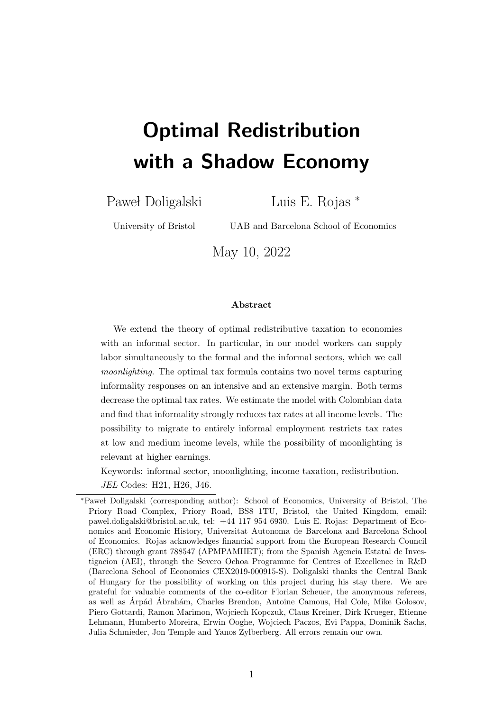# Optimal Redistribution with a Shadow Economy

Paweł Doligalski

Luis E. Rojas <sup>∗</sup>

University of Bristol

UAB and Barcelona School of Economics

May 10, 2022

#### Abstract

We extend the theory of optimal redistributive taxation to economies with an informal sector. In particular, in our model workers can supply labor simultaneously to the formal and the informal sectors, which we call moonlighting. The optimal tax formula contains two novel terms capturing informality responses on an intensive and an extensive margin. Both terms decrease the optimal tax rates. We estimate the model with Colombian data and find that informality strongly reduces tax rates at all income levels. The possibility to migrate to entirely informal employment restricts tax rates at low and medium income levels, while the possibility of moonlighting is relevant at higher earnings.

Keywords: informal sector, moonlighting, income taxation, redistribution.

JEL Codes: H21, H26, J46.

<sup>∗</sup>Pawe l Doligalski (corresponding author): School of Economics, University of Bristol, The Priory Road Complex, Priory Road, BS8 1TU, Bristol, the United Kingdom, email: pawel.doligalski@bristol.ac.uk, tel: +44 117 954 6930. Luis E. Rojas: Department of Economics and Economic History, Universitat Autonoma de Barcelona and Barcelona School of Economics. Rojas acknowledges financial support from the European Research Council (ERC) through grant 788547 (APMPAMHET); from the Spanish Agencia Estatal de Investigacion (AEI), through the Severo Ochoa Programme for Centres of Excellence in R&D (Barcelona School of Economics CEX2019-000915-S). Doligalski thanks the Central Bank of Hungary for the possibility of working on this project during his stay there. We are grateful for valuable comments of the co-editor Florian Scheuer, the anonymous referees, as well as Árpád Ábrahám, Charles Brendon, Antoine Camous, Hal Cole, Mike Golosov, Piero Gottardi, Ramon Marimon, Wojciech Kopczuk, Claus Kreiner, Dirk Krueger, Etienne Lehmann, Humberto Moreira, Erwin Ooghe, Wojciech Paczos, Evi Pappa, Dominik Sachs, Julia Schmieder, Jon Temple and Yanos Zylberberg. All errors remain our own.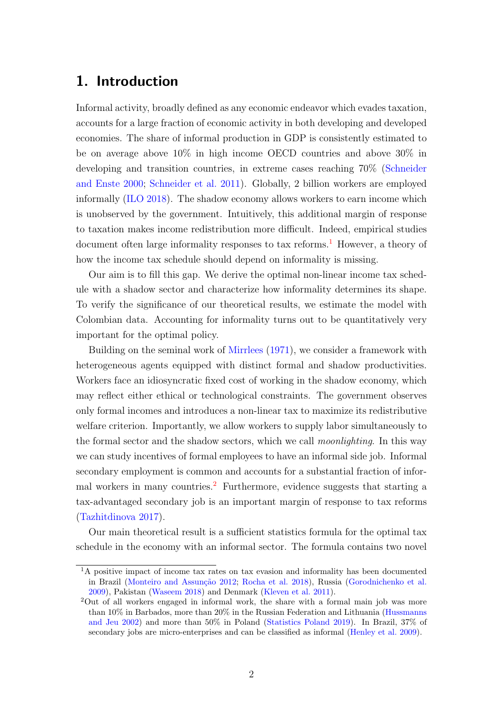## 1. Introduction

Informal activity, broadly defined as any economic endeavor which evades taxation, accounts for a large fraction of economic activity in both developing and developed economies. The share of informal production in GDP is consistently estimated to be on average above 10% in high income OECD countries and above 30% in developing and transition countries, in extreme cases reaching 70% [\(Schneider](#page-49-0) [and Enste](#page-49-0) [2000;](#page-49-0) [Schneider et al.](#page-49-1) [2011\)](#page-49-1). Globally, 2 billion workers are employed informally [\(ILO](#page-47-0) [2018\)](#page-47-0). The shadow economy allows workers to earn income which is unobserved by the government. Intuitively, this additional margin of response to taxation makes income redistribution more difficult. Indeed, empirical studies document often large informality responses to tax reforms.<sup>[1](#page-1-0)</sup> However, a theory of how the income tax schedule should depend on informality is missing.

Our aim is to fill this gap. We derive the optimal non-linear income tax schedule with a shadow sector and characterize how informality determines its shape. To verify the significance of our theoretical results, we estimate the model with Colombian data. Accounting for informality turns out to be quantitatively very important for the optimal policy.

Building on the seminal work of [Mirrlees](#page-48-0) [\(1971\)](#page-48-0), we consider a framework with heterogeneous agents equipped with distinct formal and shadow productivities. Workers face an idiosyncratic fixed cost of working in the shadow economy, which may reflect either ethical or technological constraints. The government observes only formal incomes and introduces a non-linear tax to maximize its redistributive welfare criterion. Importantly, we allow workers to supply labor simultaneously to the formal sector and the shadow sectors, which we call moonlighting. In this way we can study incentives of formal employees to have an informal side job. Informal secondary employment is common and accounts for a substantial fraction of infor-mal workers in many countries.<sup>[2](#page-1-1)</sup> Furthermore, evidence suggests that starting a tax-advantaged secondary job is an important margin of response to tax reforms [\(Tazhitdinova](#page-49-2) [2017\)](#page-49-2).

Our main theoretical result is a sufficient statistics formula for the optimal tax schedule in the economy with an informal sector. The formula contains two novel

<span id="page-1-0"></span><sup>&</sup>lt;sup>1</sup>A positive impact of income tax rates on tax evasion and informality has been documented in Brazil (Monteiro and Assunção [2012;](#page-48-1) [Rocha et al.](#page-48-2) [2018\)](#page-48-2), Russia [\(Gorodnichenko et al.](#page-46-0) [2009\)](#page-46-0), Pakistan [\(Waseem](#page-49-3) [2018\)](#page-49-3) and Denmark [\(Kleven et al.](#page-47-1) [2011\)](#page-47-1).

<span id="page-1-1"></span><sup>2</sup>Out of all workers engaged in informal work, the share with a formal main job was more than 10% in Barbados, more than 20% in the Russian Federation and Lithuania [\(Hussmanns](#page-46-1) [and Jeu](#page-46-1) [2002\)](#page-46-1) and more than 50% in Poland [\(Statistics Poland](#page-49-4) [2019\)](#page-49-4). In Brazil, 37% of secondary jobs are micro-enterprises and can be classified as informal [\(Henley et al.](#page-46-2) [2009\)](#page-46-2).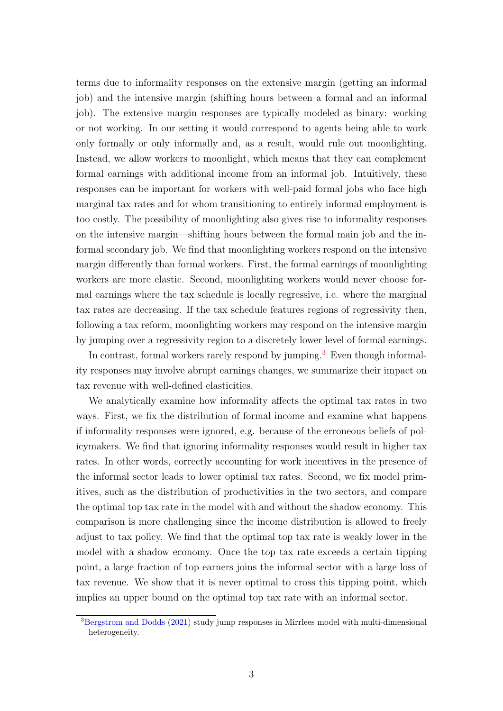terms due to informality responses on the extensive margin (getting an informal job) and the intensive margin (shifting hours between a formal and an informal job). The extensive margin responses are typically modeled as binary: working or not working. In our setting it would correspond to agents being able to work only formally or only informally and, as a result, would rule out moonlighting. Instead, we allow workers to moonlight, which means that they can complement formal earnings with additional income from an informal job. Intuitively, these responses can be important for workers with well-paid formal jobs who face high marginal tax rates and for whom transitioning to entirely informal employment is too costly. The possibility of moonlighting also gives rise to informality responses on the intensive margin—shifting hours between the formal main job and the informal secondary job. We find that moonlighting workers respond on the intensive margin differently than formal workers. First, the formal earnings of moonlighting workers are more elastic. Second, moonlighting workers would never choose formal earnings where the tax schedule is locally regressive, i.e. where the marginal tax rates are decreasing. If the tax schedule features regions of regressivity then, following a tax reform, moonlighting workers may respond on the intensive margin by jumping over a regressivity region to a discretely lower level of formal earnings.

In contrast, formal workers rarely respond by jumping.<sup>[3](#page-2-0)</sup> Even though informality responses may involve abrupt earnings changes, we summarize their impact on tax revenue with well-defined elasticities.

We analytically examine how informality affects the optimal tax rates in two ways. First, we fix the distribution of formal income and examine what happens if informality responses were ignored, e.g. because of the erroneous beliefs of policymakers. We find that ignoring informality responses would result in higher tax rates. In other words, correctly accounting for work incentives in the presence of the informal sector leads to lower optimal tax rates. Second, we fix model primitives, such as the distribution of productivities in the two sectors, and compare the optimal top tax rate in the model with and without the shadow economy. This comparison is more challenging since the income distribution is allowed to freely adjust to tax policy. We find that the optimal top tax rate is weakly lower in the model with a shadow economy. Once the top tax rate exceeds a certain tipping point, a large fraction of top earners joins the informal sector with a large loss of tax revenue. We show that it is never optimal to cross this tipping point, which implies an upper bound on the optimal top tax rate with an informal sector.

<span id="page-2-0"></span><sup>3</sup>[Bergstrom and Dodds](#page-44-0) [\(2021\)](#page-44-0) study jump responses in Mirrlees model with multi-dimensional heterogeneity.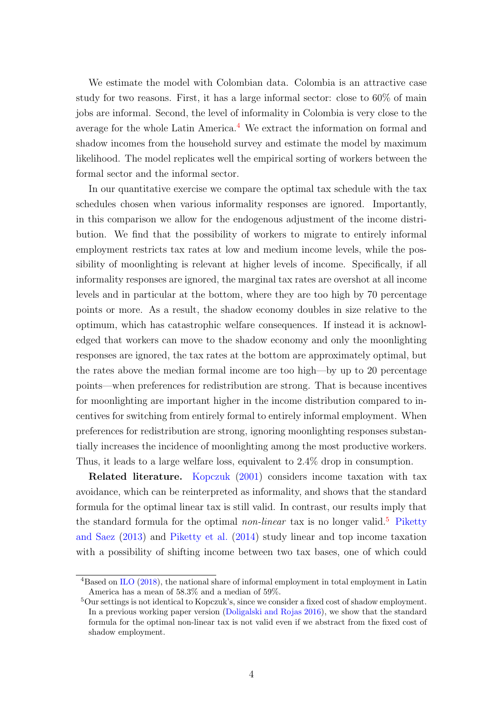We estimate the model with Colombian data. Colombia is an attractive case study for two reasons. First, it has a large informal sector: close to 60% of main jobs are informal. Second, the level of informality in Colombia is very close to the average for the whole Latin America.[4](#page-3-0) We extract the information on formal and shadow incomes from the household survey and estimate the model by maximum likelihood. The model replicates well the empirical sorting of workers between the formal sector and the informal sector.

In our quantitative exercise we compare the optimal tax schedule with the tax schedules chosen when various informality responses are ignored. Importantly, in this comparison we allow for the endogenous adjustment of the income distribution. We find that the possibility of workers to migrate to entirely informal employment restricts tax rates at low and medium income levels, while the possibility of moonlighting is relevant at higher levels of income. Specifically, if all informality responses are ignored, the marginal tax rates are overshot at all income levels and in particular at the bottom, where they are too high by 70 percentage points or more. As a result, the shadow economy doubles in size relative to the optimum, which has catastrophic welfare consequences. If instead it is acknowledged that workers can move to the shadow economy and only the moonlighting responses are ignored, the tax rates at the bottom are approximately optimal, but the rates above the median formal income are too high—by up to 20 percentage points—when preferences for redistribution are strong. That is because incentives for moonlighting are important higher in the income distribution compared to incentives for switching from entirely formal to entirely informal employment. When preferences for redistribution are strong, ignoring moonlighting responses substantially increases the incidence of moonlighting among the most productive workers. Thus, it leads to a large welfare loss, equivalent to 2.4% drop in consumption.

Related literature. [Kopczuk](#page-47-2) [\(2001\)](#page-47-2) considers income taxation with tax avoidance, which can be reinterpreted as informality, and shows that the standard formula for the optimal linear tax is still valid. In contrast, our results imply that the standard formula for the optimal non-linear tax is no longer valid.<sup>[5](#page-3-1)</sup> [Piketty](#page-48-3) [and Saez](#page-48-3) [\(2013\)](#page-48-3) and [Piketty et al.](#page-48-4) [\(2014\)](#page-48-4) study linear and top income taxation with a possibility of shifting income between two tax bases, one of which could

<span id="page-3-0"></span><sup>4</sup>Based on [ILO](#page-47-0) [\(2018\)](#page-47-0), the national share of informal employment in total employment in Latin America has a mean of 58.3% and a median of 59%.

<span id="page-3-1"></span><sup>5</sup>Our settings is not identical to Kopczuk's, since we consider a fixed cost of shadow employment. In a previous working paper version [\(Doligalski and Rojas](#page-45-0) [2016\)](#page-45-0), we show that the standard formula for the optimal non-linear tax is not valid even if we abstract from the fixed cost of shadow employment.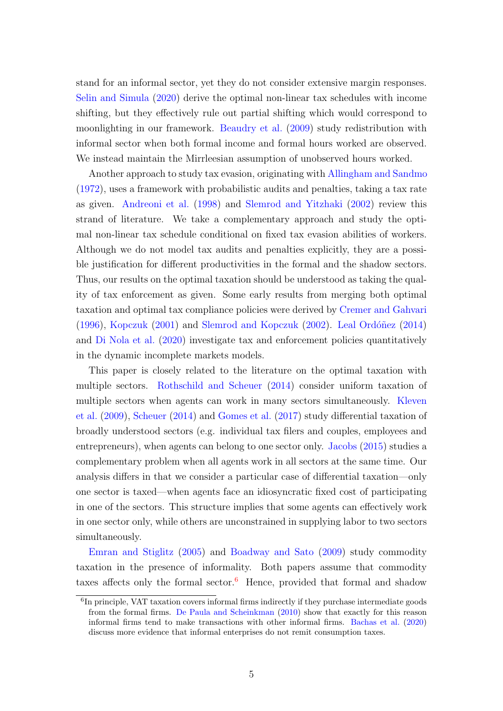stand for an informal sector, yet they do not consider extensive margin responses. [Selin and Simula](#page-49-5) [\(2020\)](#page-49-5) derive the optimal non-linear tax schedules with income shifting, but they effectively rule out partial shifting which would correspond to moonlighting in our framework. [Beaudry et al.](#page-44-1) [\(2009\)](#page-44-1) study redistribution with informal sector when both formal income and formal hours worked are observed. We instead maintain the Mirrleesian assumption of unobserved hours worked.

Another approach to study tax evasion, originating with [Allingham and Sandmo](#page-44-2) [\(1972\)](#page-44-2), uses a framework with probabilistic audits and penalties, taking a tax rate as given. [Andreoni et al.](#page-44-3) [\(1998\)](#page-44-3) and [Slemrod and Yitzhaki](#page-49-6) [\(2002\)](#page-49-6) review this strand of literature. We take a complementary approach and study the optimal non-linear tax schedule conditional on fixed tax evasion abilities of workers. Although we do not model tax audits and penalties explicitly, they are a possible justification for different productivities in the formal and the shadow sectors. Thus, our results on the optimal taxation should be understood as taking the quality of tax enforcement as given. Some early results from merging both optimal taxation and optimal tax compliance policies were derived by [Cremer and Gahvari](#page-45-1) [\(1996\)](#page-45-1), [Kopczuk](#page-47-2) [\(2001\)](#page-47-2) and [Slemrod and Kopczuk](#page-49-7) [\(2002\)](#page-49-7). Leal Ordóñez [\(2014\)](#page-47-3) and [Di Nola et al.](#page-45-2) [\(2020\)](#page-45-2) investigate tax and enforcement policies quantitatively in the dynamic incomplete markets models.

This paper is closely related to the literature on the optimal taxation with multiple sectors. [Rothschild and Scheuer](#page-48-5) [\(2014\)](#page-48-5) consider uniform taxation of multiple sectors when agents can work in many sectors simultaneously. [Kleven](#page-47-4) [et al.](#page-47-4) [\(2009\)](#page-47-4), [Scheuer](#page-49-8) [\(2014\)](#page-49-8) and [Gomes et al.](#page-46-3) [\(2017\)](#page-46-3) study differential taxation of broadly understood sectors (e.g. individual tax filers and couples, employees and entrepreneurs), when agents can belong to one sector only. [Jacobs](#page-47-5) [\(2015\)](#page-47-5) studies a complementary problem when all agents work in all sectors at the same time. Our analysis differs in that we consider a particular case of differential taxation—only one sector is taxed—when agents face an idiosyncratic fixed cost of participating in one of the sectors. This structure implies that some agents can effectively work in one sector only, while others are unconstrained in supplying labor to two sectors simultaneously.

[Emran and Stiglitz](#page-45-3) [\(2005\)](#page-45-3) and [Boadway and Sato](#page-45-4) [\(2009\)](#page-45-4) study commodity taxation in the presence of informality. Both papers assume that commodity taxes affects only the formal sector.<sup>[6](#page-4-0)</sup> Hence, provided that formal and shadow

<span id="page-4-0"></span><sup>&</sup>lt;sup>6</sup>In principle, VAT taxation covers informal firms indirectly if they purchase intermediate goods from the formal firms. [De Paula and Scheinkman](#page-45-5) [\(2010\)](#page-45-5) show that exactly for this reason informal firms tend to make transactions with other informal firms. [Bachas et al.](#page-44-4) [\(2020\)](#page-44-4) discuss more evidence that informal enterprises do not remit consumption taxes.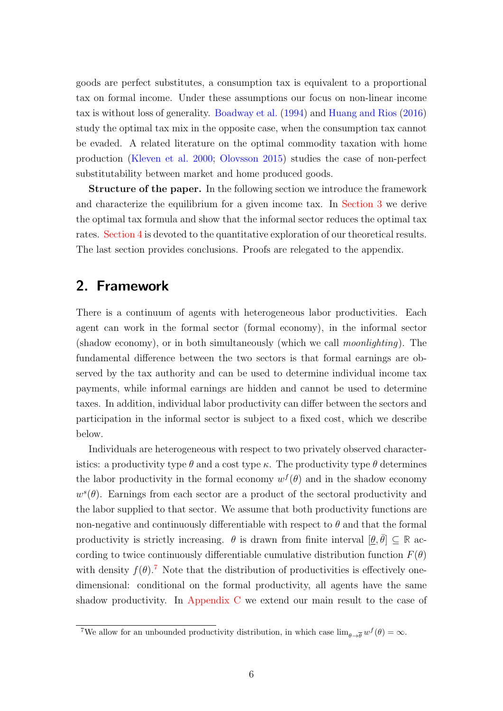goods are perfect substitutes, a consumption tax is equivalent to a proportional tax on formal income. Under these assumptions our focus on non-linear income tax is without loss of generality. [Boadway et al.](#page-44-5) [\(1994\)](#page-44-5) and [Huang and Rios](#page-46-4) [\(2016\)](#page-46-4) study the optimal tax mix in the opposite case, when the consumption tax cannot be evaded. A related literature on the optimal commodity taxation with home production [\(Kleven et al.](#page-47-6) [2000;](#page-47-6) [Olovsson](#page-48-6) [2015\)](#page-48-6) studies the case of non-perfect substitutability between market and home produced goods.

Structure of the paper. In the following section we introduce the framework and characterize the equilibrium for a given income tax. In [Section 3](#page-11-0) we derive the optimal tax formula and show that the informal sector reduces the optimal tax rates. [Section 4](#page-22-0) is devoted to the quantitative exploration of our theoretical results. The last section provides conclusions. Proofs are relegated to the appendix.

## <span id="page-5-1"></span>2. Framework

There is a continuum of agents with heterogeneous labor productivities. Each agent can work in the formal sector (formal economy), in the informal sector (shadow economy), or in both simultaneously (which we call moonlighting). The fundamental difference between the two sectors is that formal earnings are observed by the tax authority and can be used to determine individual income tax payments, while informal earnings are hidden and cannot be used to determine taxes. In addition, individual labor productivity can differ between the sectors and participation in the informal sector is subject to a fixed cost, which we describe below.

Individuals are heterogeneous with respect to two privately observed characteristics: a productivity type  $\theta$  and a cost type  $\kappa$ . The productivity type  $\theta$  determines the labor productivity in the formal economy  $w<sup>f</sup>(\theta)$  and in the shadow economy  $w^{s}(\theta)$ . Earnings from each sector are a product of the sectoral productivity and the labor supplied to that sector. We assume that both productivity functions are non-negative and continuously differentiable with respect to  $\theta$  and that the formal productivity is strictly increasing.  $\theta$  is drawn from finite interval  $[\theta, \bar{\theta}] \subseteq \mathbb{R}$  according to twice continuously differentiable cumulative distribution function  $F(\theta)$ with density  $f(\theta)$ .<sup>[7](#page-5-0)</sup> Note that the distribution of productivities is effectively onedimensional: conditional on the formal productivity, all agents have the same shadow productivity. In [Appendix C](#page-40-0) we extend our main result to the case of

<span id="page-5-0"></span><sup>&</sup>lt;sup>7</sup>We allow for an unbounded productivity distribution, in which case  $\lim_{\theta \to \overline{\theta}} w^f(\theta) = \infty$ .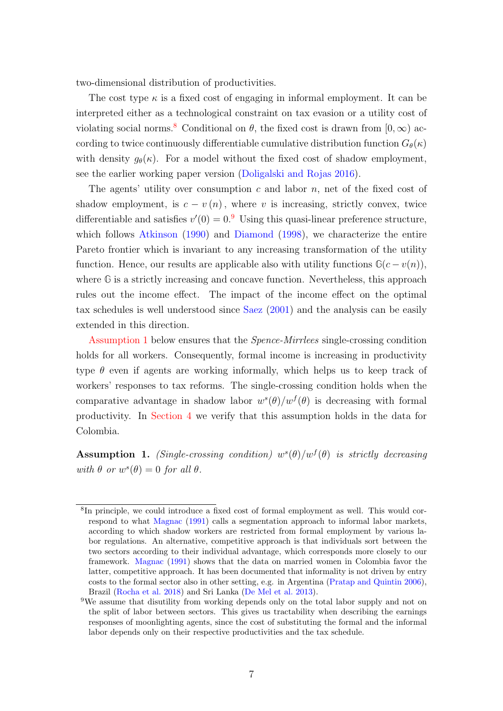two-dimensional distribution of productivities.

The cost type  $\kappa$  is a fixed cost of engaging in informal employment. It can be interpreted either as a technological constraint on tax evasion or a utility cost of violating social norms.<sup>[8](#page-6-0)</sup> Conditional on  $\theta$ , the fixed cost is drawn from [0,  $\infty$ ) according to twice continuously differentiable cumulative distribution function  $G_{\theta}(\kappa)$ with density  $g_{\theta}(\kappa)$ . For a model without the fixed cost of shadow employment, see the earlier working paper version [\(Doligalski and Rojas](#page-45-0) [2016\)](#page-45-0).

The agents' utility over consumption  $c$  and labor  $n$ , net of the fixed cost of shadow employment, is  $c - v(n)$ , where v is increasing, strictly convex, twice differentiable and satisfies  $v'(0) = 0.9$  $v'(0) = 0.9$  Using this quasi-linear preference structure, which follows [Atkinson](#page-44-6) [\(1990\)](#page-44-6) and [Diamond](#page-45-6) [\(1998\)](#page-45-6), we characterize the entire Pareto frontier which is invariant to any increasing transformation of the utility function. Hence, our results are applicable also with utility functions  $\mathbb{G}(c - v(n))$ , where  $\mathbb{G}$  is a strictly increasing and concave function. Nevertheless, this approach rules out the income effect. The impact of the income effect on the optimal tax schedules is well understood since [Saez](#page-49-9) [\(2001\)](#page-49-9) and the analysis can be easily extended in this direction.

[Assumption 1](#page-6-2) below ensures that the Spence-Mirrlees single-crossing condition holds for all workers. Consequently, formal income is increasing in productivity type  $\theta$  even if agents are working informally, which helps us to keep track of workers' responses to tax reforms. The single-crossing condition holds when the comparative advantage in shadow labor  $w^{s}(\theta)/w^{f}(\theta)$  is decreasing with formal productivity. In [Section 4](#page-22-0) we verify that this assumption holds in the data for Colombia.

<span id="page-6-2"></span>**Assumption 1.** (Single-crossing condition)  $w^{s}(\theta)/w^{f}(\theta)$  is strictly decreasing with  $\theta$  or  $w^s(\theta) = 0$  for all  $\theta$ .

<span id="page-6-0"></span><sup>&</sup>lt;sup>8</sup>In principle, we could introduce a fixed cost of formal employment as well. This would correspond to what [Magnac](#page-47-7) [\(1991\)](#page-47-7) calls a segmentation approach to informal labor markets, according to which shadow workers are restricted from formal employment by various labor regulations. An alternative, competitive approach is that individuals sort between the two sectors according to their individual advantage, which corresponds more closely to our framework. [Magnac](#page-47-7) [\(1991\)](#page-47-7) shows that the data on married women in Colombia favor the latter, competitive approach. It has been documented that informality is not driven by entry costs to the formal sector also in other setting, e.g. in Argentina [\(Pratap and Quintin](#page-48-7) [2006\)](#page-48-7), Brazil [\(Rocha et al.](#page-48-2) [2018\)](#page-48-2) and Sri Lanka [\(De Mel et al.](#page-45-7) [2013\)](#page-45-7).

<span id="page-6-1"></span><sup>9</sup>We assume that disutility from working depends only on the total labor supply and not on the split of labor between sectors. This gives us tractability when describing the earnings responses of moonlighting agents, since the cost of substituting the formal and the informal labor depends only on their respective productivities and the tax schedule.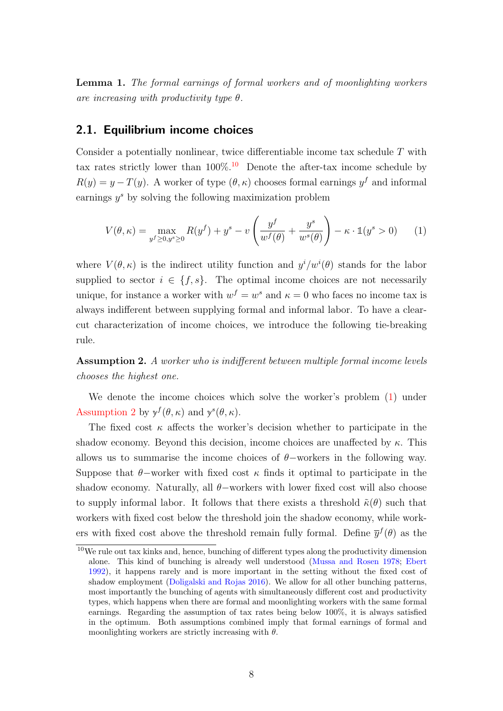<span id="page-7-3"></span>Lemma 1. The formal earnings of formal workers and of moonlighting workers are increasing with productivity type  $\theta$ .

### 2.1. Equilibrium income choices

Consider a potentially nonlinear, twice differentiable income tax schedule T with tax rates strictly lower than  $100\%$  $100\%$ .<sup>10</sup> Denote the after-tax income schedule by  $R(y) = y - T(y)$ . A worker of type  $(\theta, \kappa)$  chooses formal earnings  $y<sup>f</sup>$  and informal earnings  $y^s$  by solving the following maximization problem

<span id="page-7-1"></span>
$$
V(\theta, \kappa) = \max_{y^f \ge 0, y^s \ge 0} R(y^f) + y^s - v \left( \frac{y^f}{w^f(\theta)} + \frac{y^s}{w^s(\theta)} \right) - \kappa \cdot \mathbb{1}(y^s > 0) \tag{1}
$$

where  $V(\theta, \kappa)$  is the indirect utility function and  $y^{i}/w^{i}(\theta)$  stands for the labor supplied to sector  $i \in \{f, s\}$ . The optimal income choices are not necessarily unique, for instance a worker with  $w^f = w^s$  and  $\kappa = 0$  who faces no income tax is always indifferent between supplying formal and informal labor. To have a clearcut characterization of income choices, we introduce the following tie-breaking rule.

<span id="page-7-2"></span>Assumption 2. A worker who is indifferent between multiple formal income levels chooses the highest one.

We denote the income choices which solve the worker's problem [\(1\)](#page-7-1) under [Assumption 2](#page-7-2) by  $y^f(\theta, \kappa)$  and  $y^s(\theta, \kappa)$ .

The fixed cost  $\kappa$  affects the worker's decision whether to participate in the shadow economy. Beyond this decision, income choices are unaffected by  $\kappa$ . This allows us to summarise the income choices of  $\theta$ –workers in the following way. Suppose that  $\theta$ –worker with fixed cost  $\kappa$  finds it optimal to participate in the shadow economy. Naturally, all  $\theta$ –workers with lower fixed cost will also choose to supply informal labor. It follows that there exists a threshold  $\tilde{\kappa}(\theta)$  such that workers with fixed cost below the threshold join the shadow economy, while workers with fixed cost above the threshold remain fully formal. Define  $\bar{y}^f(\theta)$  as the

<span id="page-7-0"></span> $10$ We rule out tax kinks and, hence, bunching of different types along the productivity dimension alone. This kind of bunching is already well understood [\(Mussa and Rosen](#page-48-8) [1978;](#page-48-8) [Ebert](#page-45-8) [1992\)](#page-45-8), it happens rarely and is more important in the setting without the fixed cost of shadow employment [\(Doligalski and Rojas](#page-45-0) [2016\)](#page-45-0). We allow for all other bunching patterns, most importantly the bunching of agents with simultaneously different cost and productivity types, which happens when there are formal and moonlighting workers with the same formal earnings. Regarding the assumption of tax rates being below 100%, it is always satisfied in the optimum. Both assumptions combined imply that formal earnings of formal and moonlighting workers are strictly increasing with  $\theta$ .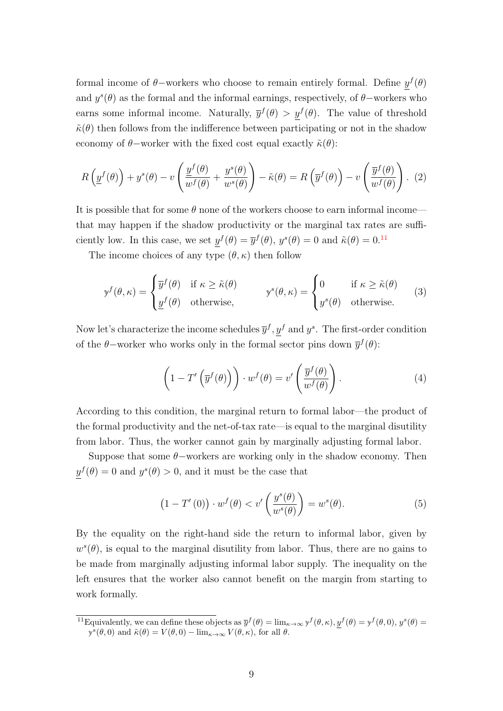formal income of  $\theta$ -workers who choose to remain entirely formal. Define  $y^f(\theta)$ and  $y^s(\theta)$  as the formal and the informal earnings, respectively, of  $\theta$ -workers who earns some informal income. Naturally,  $\bar{y}^f(\theta) > y^f(\theta)$ . The value of threshold  $\tilde{\kappa}(\theta)$  then follows from the indifference between participating or not in the shadow economy of  $\theta$ –worker with the fixed cost equal exactly  $\tilde{\kappa}(\theta)$ :

<span id="page-8-3"></span>
$$
R\left(\underline{y}^f(\theta)\right) + y^s(\theta) - v\left(\frac{\underline{y}^f(\theta)}{w^f(\theta)} + \frac{y^s(\theta)}{w^s(\theta)}\right) - \tilde{\kappa}(\theta) = R\left(\overline{y}^f(\theta)\right) - v\left(\frac{\overline{y}^f(\theta)}{w^f(\theta)}\right). (2)
$$

It is possible that for some  $\theta$  none of the workers choose to earn informal income that may happen if the shadow productivity or the marginal tax rates are sufficiently low. In this case, we set  $y^f(\theta) = \overline{y}^f(\theta)$ ,  $y^s(\theta) = 0$  and  $\tilde{\kappa}(\theta) = 0$ .<sup>[11](#page-8-0)</sup>

The income choices of any type  $(\theta, \kappa)$  then follow

$$
\mathbf{y}^f(\theta,\kappa) = \begin{cases} \overline{y}^f(\theta) & \text{if } \kappa \ge \tilde{\kappa}(\theta) \\ \underline{y}^f(\theta) & \text{otherwise,} \end{cases} \qquad \mathbf{y}^s(\theta,\kappa) = \begin{cases} 0 & \text{if } \kappa \ge \tilde{\kappa}(\theta) \\ y^s(\theta) & \text{otherwise.} \end{cases} \tag{3}
$$

Now let's characterize the income schedules  $\overline{y}^f, y^f$  and  $y^s$ . The first-order condition of the  $\theta$ -worker who works only in the formal sector pins down  $\overline{y}^f(\theta)$ :

<span id="page-8-2"></span>
$$
\left(1 - T'\left(\overline{y}^f(\theta)\right)\right) \cdot w^f(\theta) = v'\left(\frac{\overline{y}^f(\theta)}{w^f(\theta)}\right). \tag{4}
$$

According to this condition, the marginal return to formal labor—the product of the formal productivity and the net-of-tax rate—is equal to the marginal disutility from labor. Thus, the worker cannot gain by marginally adjusting formal labor.

Suppose that some  $\theta$ –workers are working only in the shadow economy. Then  $y^f(\theta) = 0$  and  $y^s(\theta) > 0$ , and it must be the case that

<span id="page-8-1"></span>
$$
(1 - T'(0)) \cdot w^f(\theta) < v' \left(\frac{y^s(\theta)}{w^s(\theta)}\right) = w^s(\theta). \tag{5}
$$

By the equality on the right-hand side the return to informal labor, given by  $w^s(\theta)$ , is equal to the marginal disutility from labor. Thus, there are no gains to be made from marginally adjusting informal labor supply. The inequality on the left ensures that the worker also cannot benefit on the margin from starting to work formally.

<span id="page-8-0"></span><sup>&</sup>lt;sup>11</sup>Equivalently, we can define these objects as  $\overline{y}^f(\theta) = \lim_{\kappa \to \infty} y^f(\theta, \kappa), y^f(\theta) = y^f(\theta, 0), y^s(\theta) =$  $\mathbf{y}^{s}(\theta,0)$  and  $\tilde{\kappa}(\theta) = V(\theta,0) - \lim_{\kappa \to \infty} V(\theta,\kappa)$ , for all  $\theta$ .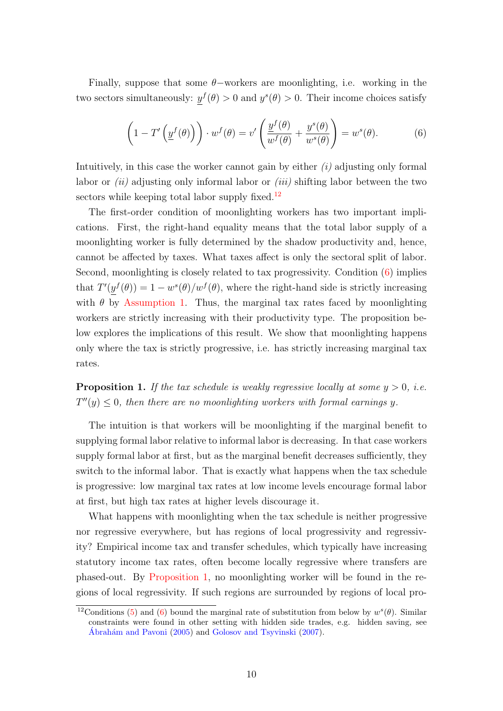Finally, suppose that some  $\theta$ -workers are moonlighting, i.e. working in the two sectors simultaneously:  $y^f(\theta) > 0$  and  $y^s(\theta) > 0$ . Their income choices satisfy

<span id="page-9-1"></span>
$$
\left(1 - T'\left(\underline{y}^f(\theta)\right)\right) \cdot w^f(\theta) = v'\left(\frac{\underline{y}^f(\theta)}{w^f(\theta)} + \frac{y^s(\theta)}{w^s(\theta)}\right) = w^s(\theta). \tag{6}
$$

Intuitively, in this case the worker cannot gain by either  $(i)$  adjusting only formal labor or  $(ii)$  adjusting only informal labor or  $(iii)$  shifting labor between the two sectors while keeping total labor supply fixed. $^{12}$  $^{12}$  $^{12}$ 

The first-order condition of moonlighting workers has two important implications. First, the right-hand equality means that the total labor supply of a moonlighting worker is fully determined by the shadow productivity and, hence, cannot be affected by taxes. What taxes affect is only the sectoral split of labor. Second, moonlighting is closely related to tax progressivity. Condition [\(6\)](#page-9-1) implies that  $T'(y^f(\theta)) = 1 - w^s(\theta)/w^f(\theta)$ , where the right-hand side is strictly increasing with  $\theta$  by [Assumption 1.](#page-6-2) Thus, the marginal tax rates faced by moonlighting workers are strictly increasing with their productivity type. The proposition below explores the implications of this result. We show that moonlighting happens only where the tax is strictly progressive, i.e. has strictly increasing marginal tax rates.

<span id="page-9-2"></span>**Proposition 1.** If the tax schedule is weakly regressive locally at some  $y > 0$ , i.e.  $T''(y) \leq 0$ , then there are no moonlighting workers with formal earnings y.

The intuition is that workers will be moonlighting if the marginal benefit to supplying formal labor relative to informal labor is decreasing. In that case workers supply formal labor at first, but as the marginal benefit decreases sufficiently, they switch to the informal labor. That is exactly what happens when the tax schedule is progressive: low marginal tax rates at low income levels encourage formal labor at first, but high tax rates at higher levels discourage it.

What happens with moonlighting when the tax schedule is neither progressive nor regressive everywhere, but has regions of local progressivity and regressivity? Empirical income tax and transfer schedules, which typically have increasing statutory income tax rates, often become locally regressive where transfers are phased-out. By [Proposition 1,](#page-9-2) no moonlighting worker will be found in the regions of local regressivity. If such regions are surrounded by regions of local pro-

<span id="page-9-0"></span><sup>&</sup>lt;sup>12</sup>Conditions [\(5\)](#page-8-1) and [\(6\)](#page-9-1) bound the marginal rate of substitution from below by  $w<sup>s</sup>(\theta)$ . Similar constraints were found in other setting with hidden side trades, e.g. hidden saving, see Ábrahám and Pavoni  $(2005)$  and [Golosov and Tsyvinski](#page-46-5)  $(2007)$ .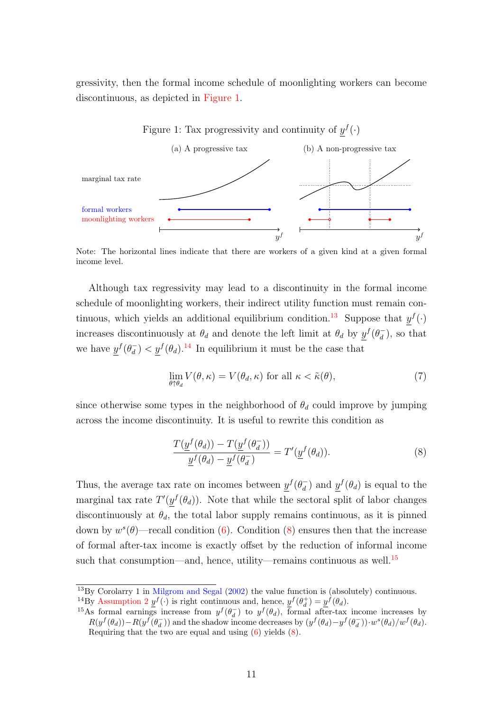gressivity, then the formal income schedule of moonlighting workers can become discontinuous, as depicted in [Figure 1.](#page-10-0)

<span id="page-10-0"></span>

Note: The horizontal lines indicate that there are workers of a given kind at a given formal income level.

Although tax regressivity may lead to a discontinuity in the formal income schedule of moonlighting workers, their indirect utility function must remain con-tinuous, which yields an additional equilibrium condition.<sup>[13](#page-10-1)</sup> Suppose that  $y^f(\cdot)$ increases discontinuously at  $\theta_d$  and denote the left limit at  $\theta_d$  by  $y^f(\theta_d^-)$  $\binom{d}{d}$ , so that we have  $y^f(\theta_d^-)$  $\binom{-}{d} < \underline{y}^f(\theta_d).$ <sup>[14](#page-10-2)</sup> In equilibrium it must be the case that

$$
\lim_{\theta \uparrow \theta_d} V(\theta, \kappa) = V(\theta_d, \kappa) \text{ for all } \kappa < \tilde{\kappa}(\theta), \tag{7}
$$

since otherwise some types in the neighborhood of  $\theta_d$  could improve by jumping across the income discontinuity. It is useful to rewrite this condition as

<span id="page-10-3"></span>
$$
\frac{T(\underline{y}^f(\theta_d)) - T(\underline{y}^f(\theta_d^-))}{\underline{y}^f(\theta_d) - \underline{y}^f(\theta_d^-)} = T'(\underline{y}^f(\theta_d)).
$$
\n(8)

Thus, the average tax rate on incomes between  $y^f(\theta_d)$  $\bar{d}$ ) and  $\underline{y}^f(\theta_d)$  is equal to the marginal tax rate  $T'(y^f(\theta_d))$ . Note that while the sectoral split of labor changes discontinuously at  $\theta_d$ , the total labor supply remains continuous, as it is pinned down by  $w^{s}(\theta)$ —recall condition [\(6\)](#page-9-1). Condition [\(8\)](#page-10-3) ensures then that the increase of formal after-tax income is exactly offset by the reduction of informal income such that consumption—and, hence, utility—remains continuous as well.<sup>[15](#page-10-4)</sup>

<span id="page-10-1"></span><sup>13</sup>By Corolarry 1 in [Milgrom and Segal](#page-47-8) [\(2002\)](#page-47-8) the value function is (absolutely) continuous.

<span id="page-10-2"></span><sup>&</sup>lt;sup>14</sup>By [Assumption 2](#page-7-2)  $\underline{y}^f(\cdot)$  is right continuous and, hence,  $\underline{y}^f(\theta_d^+) = \underline{y}^f(\theta_d)$ .

<span id="page-10-4"></span><sup>&</sup>lt;sup>15</sup>As formal earnings increase from  $y^f(\theta_d^-)$  to  $y^f(\theta_d)$ , formal after-tax income increases by  $R(y^f(\theta_d)) - R(y^f(\theta_d^-))$  and the shadow income decreases by  $(y^f(\theta_d) - y^f(\theta_d^-)) \cdot w^s(\theta_d)/w^f(\theta_d)$ . Requiring that the two are equal and using [\(6\)](#page-9-1) yields [\(8\)](#page-10-3).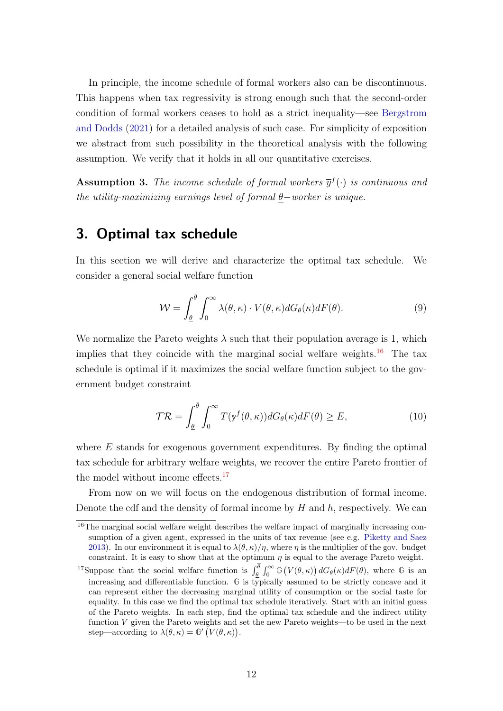In principle, the income schedule of formal workers also can be discontinuous. This happens when tax regressivity is strong enough such that the second-order condition of formal workers ceases to hold as a strict inequality—see [Bergstrom](#page-44-0) [and Dodds](#page-44-0) [\(2021\)](#page-44-0) for a detailed analysis of such case. For simplicity of exposition we abstract from such possibility in the theoretical analysis with the following assumption. We verify that it holds in all our quantitative exercises.

<span id="page-11-3"></span>**Assumption 3.** The income schedule of formal workers  $\overline{y}^f(\cdot)$  is continuous and the utility-maximizing earnings level of formal  $\underline{\theta}$ -worker is unique.

# <span id="page-11-0"></span>3. Optimal tax schedule

In this section we will derive and characterize the optimal tax schedule. We consider a general social welfare function

$$
\mathcal{W} = \int_{\underline{\theta}}^{\overline{\theta}} \int_0^{\infty} \lambda(\theta, \kappa) \cdot V(\theta, \kappa) dG_{\theta}(\kappa) dF(\theta).
$$
 (9)

We normalize the Pareto weights  $\lambda$  such that their population average is 1, which implies that they coincide with the marginal social welfare weights.<sup>[16](#page-11-1)</sup> The tax schedule is optimal if it maximizes the social welfare function subject to the government budget constraint

$$
\mathcal{TR} = \int_{\underline{\theta}}^{\overline{\theta}} \int_0^{\infty} T(\mathbf{y}^f(\theta, \kappa)) dG_{\theta}(\kappa) dF(\theta) \ge E,
$$
\n(10)

where  $E$  stands for exogenous government expenditures. By finding the optimal tax schedule for arbitrary welfare weights, we recover the entire Pareto frontier of the model without income effects. $17$ 

From now on we will focus on the endogenous distribution of formal income. Denote the cdf and the density of formal income by  $H$  and  $h$ , respectively. We can

<span id="page-11-1"></span><sup>&</sup>lt;sup>16</sup>The marginal social welfare weight describes the welfare impact of marginally increasing consumption of a given agent, expressed in the units of tax revenue (see e.g. [Piketty and Saez](#page-48-3) [2013\)](#page-48-3). In our environment it is equal to  $\lambda(\theta, \kappa)/\eta$ , where  $\eta$  is the multiplier of the gov. budget constraint. It is easy to show that at the optimum  $\eta$  is equal to the average Pareto weight.

<span id="page-11-2"></span><sup>&</sup>lt;sup>17</sup>Suppose that the social welfare function is  $\int_{\theta}^{\theta} \int_{0}^{\infty} G(V(\theta,\kappa)) dG_{\theta}(\kappa) dF(\theta)$ , where G is an increasing and differentiable function. **G** is typically assumed to be strictly concave and it can represent either the decreasing marginal utility of consumption or the social taste for equality. In this case we find the optimal tax schedule iteratively. Start with an initial guess of the Pareto weights. In each step, find the optimal tax schedule and the indirect utility function V given the Pareto weights and set the new Pareto weights—to be used in the next step—according to  $\lambda(\theta,\kappa) = \mathbb{G}'(V(\theta,\kappa)).$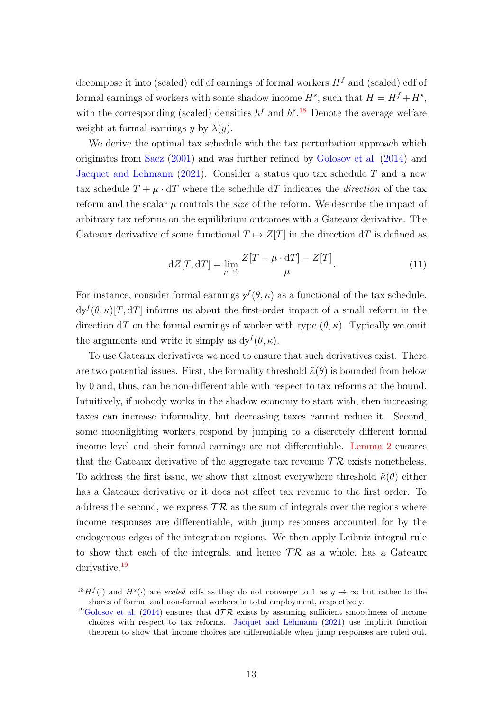decompose it into (scaled) cdf of earnings of formal workers  $H<sup>f</sup>$  and (scaled) cdf of formal earnings of workers with some shadow income  $H^s$ , such that  $H = H^f + H^s$ , with the corresponding (scaled) densities  $h^f$  and  $h^{s}$ .<sup>[18](#page-12-0)</sup> Denote the average welfare weight at formal earnings y by  $\overline{\lambda}(y)$ .

We derive the optimal tax schedule with the tax perturbation approach which originates from [Saez](#page-49-9) [\(2001\)](#page-49-9) and was further refined by [Golosov et al.](#page-46-6) [\(2014\)](#page-46-6) and [Jacquet and Lehmann](#page-47-9) [\(2021\)](#page-47-9). Consider a status quo tax schedule  $T$  and a new tax schedule  $T + \mu \cdot dT$  where the schedule dT indicates the *direction* of the tax reform and the scalar  $\mu$  controls the *size* of the reform. We describe the impact of arbitrary tax reforms on the equilibrium outcomes with a Gateaux derivative. The Gateaux derivative of some functional  $T \mapsto Z[T]$  in the direction dT is defined as

$$
dZ[T, dT] = \lim_{\mu \to 0} \frac{Z[T + \mu \cdot dT] - Z[T]}{\mu}.
$$
\n(11)

For instance, consider formal earnings  $y^f(\theta, \kappa)$  as a functional of the tax schedule.  $dy^{f}(\theta, \kappa)[T, dT]$  informs us about the first-order impact of a small reform in the direction dT on the formal earnings of worker with type  $(\theta, \kappa)$ . Typically we omit the arguments and write it simply as  $dy^f$  $(\theta, \kappa)$ .

To use Gateaux derivatives we need to ensure that such derivatives exist. There are two potential issues. First, the formality threshold  $\tilde{\kappa}(\theta)$  is bounded from below by 0 and, thus, can be non-differentiable with respect to tax reforms at the bound. Intuitively, if nobody works in the shadow economy to start with, then increasing taxes can increase informality, but decreasing taxes cannot reduce it. Second, some moonlighting workers respond by jumping to a discretely different formal income level and their formal earnings are not differentiable. [Lemma 2](#page-13-0) ensures that the Gateaux derivative of the aggregate tax revenue  $\mathcal{TR}$  exists nonetheless. To address the first issue, we show that almost everywhere threshold  $\tilde{\kappa}(\theta)$  either has a Gateaux derivative or it does not affect tax revenue to the first order. To address the second, we express  $\mathcal{T}\mathcal{R}$  as the sum of integrals over the regions where income responses are differentiable, with jump responses accounted for by the endogenous edges of the integration regions. We then apply Leibniz integral rule to show that each of the integrals, and hence  $TR$  as a whole, has a Gateaux derivative.<sup>[19](#page-12-1)</sup>

<span id="page-12-0"></span><sup>&</sup>lt;sup>18</sup>H<sup>f</sup>(.) and H<sup>s</sup>(.) are scaled cdfs as they do not converge to 1 as  $y \to \infty$  but rather to the shares of formal and non-formal workers in total employment, respectively.

<span id="page-12-1"></span><sup>&</sup>lt;sup>19</sup>[Golosov et al.](#page-46-6) [\(2014\)](#page-46-6) ensures that  $d\mathcal{T}\mathcal{R}$  exists by assuming sufficient smoothness of income choices with respect to tax reforms. [Jacquet and Lehmann](#page-47-9) [\(2021\)](#page-47-9) use implicit function theorem to show that income choices are differentiable when jump responses are ruled out.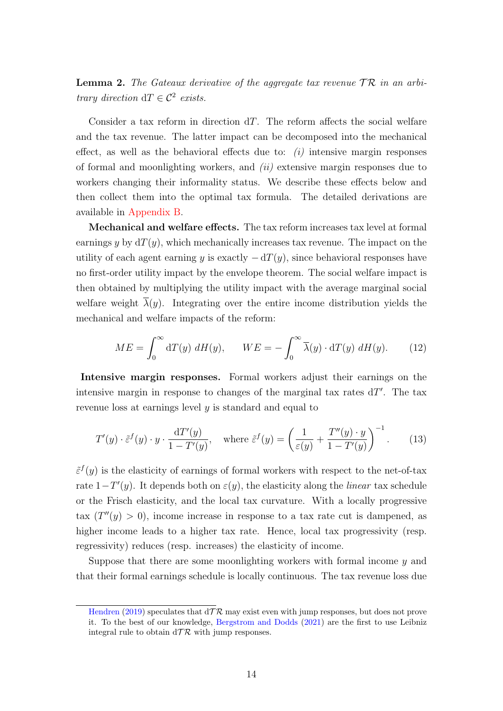<span id="page-13-0"></span>**Lemma 2.** The Gateaux derivative of the aggregate tax revenue  $TR$  in an arbitrary direction  $dT \in C^2$  exists.

Consider a tax reform in direction  $dT$ . The reform affects the social welfare and the tax revenue. The latter impact can be decomposed into the mechanical effect, as well as the behavioral effects due to:  $(i)$  intensive margin responses of formal and moonlighting workers, and (ii) extensive margin responses due to workers changing their informality status. We describe these effects below and then collect them into the optimal tax formula. The detailed derivations are available in [Appendix B.](#page-38-0)

Mechanical and welfare effects. The tax reform increases tax level at formal earnings y by  $dT(y)$ , which mechanically increases tax revenue. The impact on the utility of each agent earning y is exactly  $-dT(y)$ , since behavioral responses have no first-order utility impact by the envelope theorem. The social welfare impact is then obtained by multiplying the utility impact with the average marginal social welfare weight  $\overline{\lambda}(y)$ . Integrating over the entire income distribution yields the mechanical and welfare impacts of the reform:

<span id="page-13-1"></span>
$$
ME = \int_0^\infty dT(y) \, dH(y), \qquad WE = -\int_0^\infty \overline{\lambda}(y) \cdot dT(y) \, dH(y). \tag{12}
$$

Intensive margin responses. Formal workers adjust their earnings on the intensive margin in response to changes of the marginal tax rates  $dT'$ . The tax revenue loss at earnings level y is standard and equal to

$$
T'(y) \cdot \tilde{\varepsilon}^f(y) \cdot y \cdot \frac{\mathrm{d}T'(y)}{1 - T'(y)}, \quad \text{where } \tilde{\varepsilon}^f(y) = \left(\frac{1}{\varepsilon(y)} + \frac{T''(y) \cdot y}{1 - T'(y)}\right)^{-1}.
$$
 (13)

 $\tilde{\epsilon}^{f}(y)$  is the elasticity of earnings of formal workers with respect to the net-of-tax rate  $1-T'(y)$ . It depends both on  $\varepsilon(y)$ , the elasticity along the *linear* tax schedule or the Frisch elasticity, and the local tax curvature. With a locally progressive tax  $(T''(y) > 0)$ , income increase in response to a tax rate cut is dampened, as higher income leads to a higher tax rate. Hence, local tax progressivity (resp. regressivity) reduces (resp. increases) the elasticity of income.

Suppose that there are some moonlighting workers with formal income y and that their formal earnings schedule is locally continuous. The tax revenue loss due

[Hendren](#page-46-7) [\(2019\)](#page-46-7) speculates that  $d\mathcal{T}\mathcal{R}$  may exist even with jump responses, but does not prove it. To the best of our knowledge, [Bergstrom and Dodds](#page-44-0) [\(2021\)](#page-44-0) are the first to use Leibniz integral rule to obtain  $d\mathcal{T}\mathcal{R}$  with jump responses.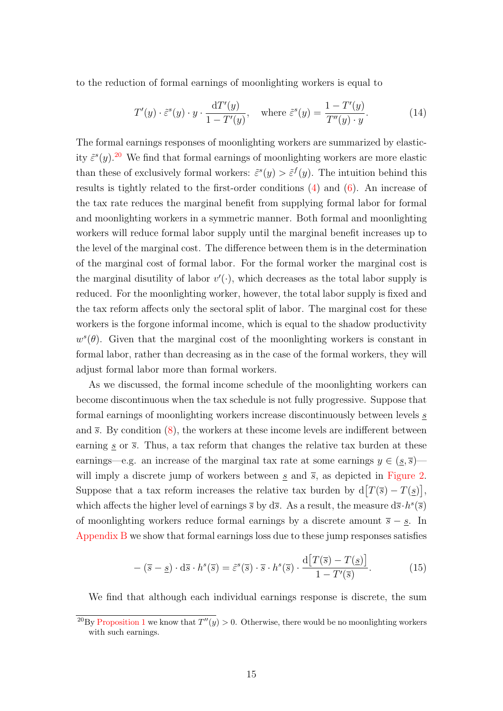to the reduction of formal earnings of moonlighting workers is equal to

$$
T'(y) \cdot \tilde{\varepsilon}^s(y) \cdot y \cdot \frac{\mathrm{d}T'(y)}{1 - T'(y)}, \quad \text{where } \tilde{\varepsilon}^s(y) = \frac{1 - T'(y)}{T''(y) \cdot y}.
$$
 (14)

The formal earnings responses of moonlighting workers are summarized by elasticity  $\tilde{\varepsilon}^s(y)$ .<sup>[20](#page-14-0)</sup> We find that formal earnings of moonlighting workers are more elastic than these of exclusively formal workers:  $\tilde{\varepsilon}^s(y) > \tilde{\varepsilon}^f(y)$ . The intuition behind this results is tightly related to the first-order conditions [\(4\)](#page-8-2) and [\(6\)](#page-9-1). An increase of the tax rate reduces the marginal benefit from supplying formal labor for formal and moonlighting workers in a symmetric manner. Both formal and moonlighting workers will reduce formal labor supply until the marginal benefit increases up to the level of the marginal cost. The difference between them is in the determination of the marginal cost of formal labor. For the formal worker the marginal cost is the marginal disutility of labor  $v'(\cdot)$ , which decreases as the total labor supply is reduced. For the moonlighting worker, however, the total labor supply is fixed and the tax reform affects only the sectoral split of labor. The marginal cost for these workers is the forgone informal income, which is equal to the shadow productivity  $w^{s}(\theta)$ . Given that the marginal cost of the moonlighting workers is constant in formal labor, rather than decreasing as in the case of the formal workers, they will adjust formal labor more than formal workers.

As we discussed, the formal income schedule of the moonlighting workers can become discontinuous when the tax schedule is not fully progressive. Suppose that formal earnings of moonlighting workers increase discontinuously between levels s and  $\bar{s}$ . By condition [\(8\)](#page-10-3), the workers at these income levels are indifferent between earning  $s$  or  $\overline{s}$ . Thus, a tax reform that changes the relative tax burden at these earnings—e.g. an increase of the marginal tax rate at some earnings  $y \in (s, \overline{s})$  will imply a discrete jump of workers between s and  $\bar{s}$ , as depicted in [Figure 2.](#page-15-0) Suppose that a tax reform increases the relative tax burden by  $d[T(\bar{s}) - T(\underline{s})],$ which affects the higher level of earnings  $\bar{s}$  by  $d\bar{s}$ . As a result, the measure  $d\bar{s} \cdot h^s(\bar{s})$ of moonlighting workers reduce formal earnings by a discrete amount  $\bar{s} - \underline{s}$ . In [Appendix B](#page-38-0) we show that formal earnings loss due to these jump responses satisfies

$$
- (\overline{s} - \underline{s}) \cdot d\overline{s} \cdot h^s(\overline{s}) = \tilde{\varepsilon}^s(\overline{s}) \cdot \overline{s} \cdot h^s(\overline{s}) \cdot \frac{d[T(\overline{s}) - T(\underline{s})]}{1 - T'(\overline{s})}. \tag{15}
$$

We find that although each individual earnings response is discrete, the sum

<span id="page-14-0"></span><sup>&</sup>lt;sup>20</sup>By [Proposition 1](#page-9-2) we know that  $T''(y) > 0$ . Otherwise, there would be no moonlighting workers with such earnings.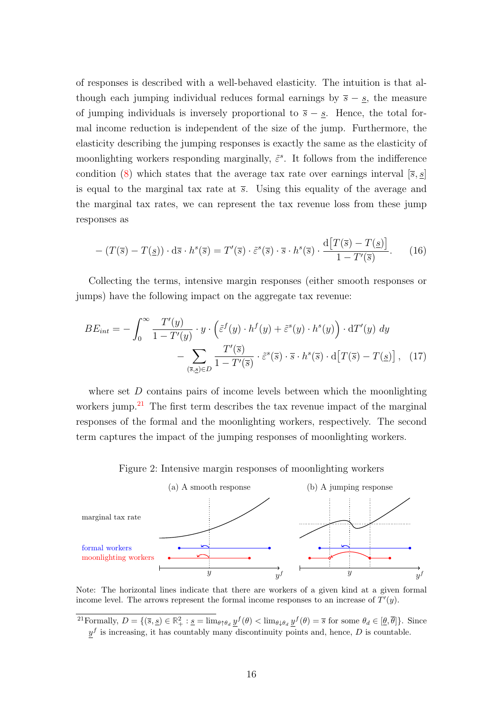of responses is described with a well-behaved elasticity. The intuition is that although each jumping individual reduces formal earnings by  $\bar{s} - \underline{s}$ , the measure of jumping individuals is inversely proportional to  $\bar{s} - \underline{s}$ . Hence, the total formal income reduction is independent of the size of the jump. Furthermore, the elasticity describing the jumping responses is exactly the same as the elasticity of moonlighting workers responding marginally,  $\tilde{\varepsilon}^s$ . It follows from the indifference condition [\(8\)](#page-10-3) which states that the average tax rate over earnings interval  $[\bar{s}, s]$ is equal to the marginal tax rate at  $\bar{s}$ . Using this equality of the average and the marginal tax rates, we can represent the tax revenue loss from these jump responses as

$$
- (T(\overline{s}) - T(\underline{s})) \cdot d\overline{s} \cdot h^s(\overline{s}) = T'(\overline{s}) \cdot \tilde{\varepsilon}^s(\overline{s}) \cdot \overline{s} \cdot h^s(\overline{s}) \cdot \frac{d[T(\overline{s}) - T(\underline{s})]}{1 - T'(\overline{s})}. \tag{16}
$$

Collecting the terms, intensive margin responses (either smooth responses or jumps) have the following impact on the aggregate tax revenue:

$$
BE_{int} = -\int_0^\infty \frac{T'(y)}{1 - T'(y)} \cdot y \cdot \left( \tilde{\varepsilon}^f(y) \cdot h^f(y) + \tilde{\varepsilon}^s(y) \cdot h^s(y) \right) \cdot dT'(y) dy - \sum_{(\bar{s}, \bar{s}) \in D} \frac{T'(\bar{s})}{1 - T'(\bar{s})} \cdot \tilde{\varepsilon}^s(\bar{s}) \cdot \bar{s} \cdot h^s(\bar{s}) \cdot d[T(\bar{s}) - T(\underline{s})], \quad (17)
$$

where set  $D$  contains pairs of income levels between which the moonlighting workers jump.<sup>[21](#page-15-1)</sup> The first term describes the tax revenue impact of the marginal responses of the formal and the moonlighting workers, respectively. The second term captures the impact of the jumping responses of moonlighting workers.

Figure 2: Intensive margin responses of moonlighting workers

<span id="page-15-0"></span>

Note: The horizontal lines indicate that there are workers of a given kind at a given formal income level. The arrows represent the formal income responses to an increase of  $T'(y)$ .

<span id="page-15-1"></span><sup>&</sup>lt;sup>21</sup>Formally,  $D = \{(\bar{s}, \underline{s}) \in \mathbb{R}^2_+ : \underline{s} = \lim_{\theta \uparrow \theta_d} \underline{y}^f(\theta) < \lim_{\theta \downarrow \theta_d} \underline{y}^f(\theta) = \overline{s}$  for some  $\theta_d \in [\underline{\theta}, \overline{\theta}]\}$ . Since  $y<sup>f</sup>$  is increasing, it has countably many discontinuity points and, hence, D is countable.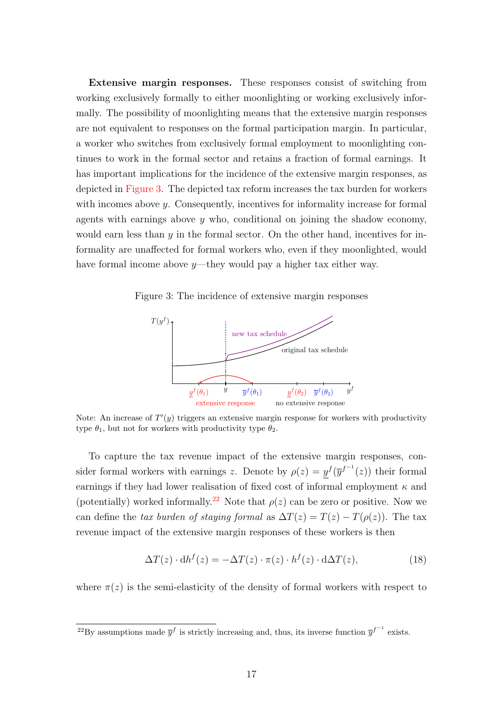Extensive margin responses. These responses consist of switching from working exclusively formally to either moonlighting or working exclusively informally. The possibility of moonlighting means that the extensive margin responses are not equivalent to responses on the formal participation margin. In particular, a worker who switches from exclusively formal employment to moonlighting continues to work in the formal sector and retains a fraction of formal earnings. It has important implications for the incidence of the extensive margin responses, as depicted in [Figure 3.](#page-16-0) The depicted tax reform increases the tax burden for workers with incomes above  $y$ . Consequently, incentives for informality increase for formal agents with earnings above  $y$  who, conditional on joining the shadow economy, would earn less than  $y$  in the formal sector. On the other hand, incentives for informality are unaffected for formal workers who, even if they moonlighted, would have formal income above  $y$ —they would pay a higher tax either way.

<span id="page-16-0"></span>Figure 3: The incidence of extensive margin responses



Note: An increase of  $T'(y)$  triggers an extensive margin response for workers with productivity type  $\theta_1$ , but not for workers with productivity type  $\theta_2$ .

To capture the tax revenue impact of the extensive margin responses, consider formal workers with earnings z. Denote by  $\rho(z) = y^f(\overline{y}^{f^{-1}}(z))$  their formal earnings if they had lower realisation of fixed cost of informal employment  $\kappa$  and (potentially) worked informally.<sup>[22](#page-16-1)</sup> Note that  $\rho(z)$  can be zero or positive. Now we can define the tax burden of staying formal as  $\Delta T(z) = T(z) - T(\rho(z))$ . The tax revenue impact of the extensive margin responses of these workers is then

$$
\Delta T(z) \cdot \mathrm{d}h^f(z) = -\Delta T(z) \cdot \pi(z) \cdot h^f(z) \cdot \mathrm{d}\Delta T(z),\tag{18}
$$

where  $\pi(z)$  is the semi-elasticity of the density of formal workers with respect to

<span id="page-16-1"></span><sup>&</sup>lt;sup>22</sup>By assumptions made  $\bar{y}^f$  is strictly increasing and, thus, its inverse function  $\bar{y}^{f^{-1}}$  exists.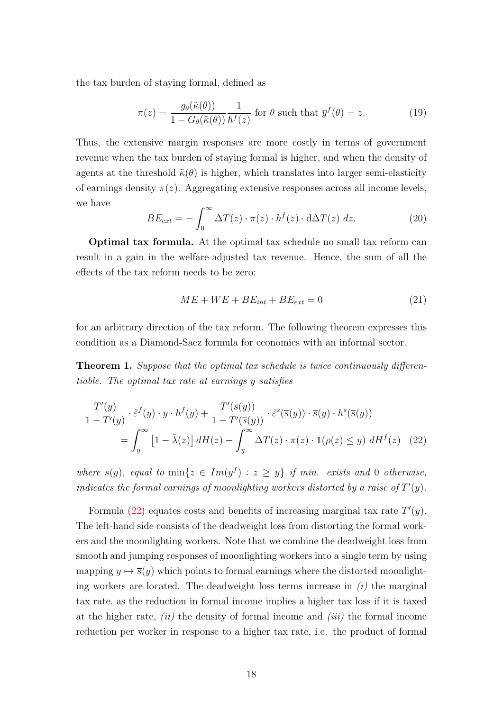the tax burden of staying formal, defined as

$$
\pi(z) = \frac{g_{\theta}(\tilde{\kappa}(\theta))}{1 - G_{\theta}(\tilde{\kappa}(\theta))} \frac{1}{h^f(z)} \text{ for } \theta \text{ such that } \overline{y}^f(\theta) = z.
$$
 (19)

Thus, the extensive margin responses are more costly in terms of government revenue when the tax burden of staying formal is higher, and when the density of agents at the threshold  $\tilde{\kappa}(\theta)$  is higher, which translates into larger semi-elasticity of earnings density  $\pi(z)$ . Aggregating extensive responses across all income levels, we have

<span id="page-17-2"></span>
$$
BE_{ext} = -\int_0^\infty \Delta T(z) \cdot \pi(z) \cdot h^f(z) \cdot d\Delta T(z) dz.
$$
 (20)

Optimal tax formula. At the optimal tax schedule no small tax reform can result in a gain in the welfare-adjusted tax revenue. Hence, the sum of all the effects of the tax reform needs to be zero:

<span id="page-17-3"></span><span id="page-17-0"></span>
$$
ME + WE + BE_{int} + BE_{ext} = 0
$$
\n(21)

for an arbitrary direction of the tax reform. The following theorem expresses this condition as a Diamond-Saez formula for economies with an informal sector.

<span id="page-17-1"></span>Theorem 1. Suppose that the optimal tax schedule is twice continuously differentiable. The optimal tax rate at earnings y satisfies

$$
\frac{T'(y)}{1 - T'(y)} \cdot \tilde{\varepsilon}^f(y) \cdot y \cdot h^f(y) + \frac{T'(\overline{s}(y))}{1 - T'(\overline{s}(y))} \cdot \tilde{\varepsilon}^s(\overline{s}(y)) \cdot \overline{s}(y) \cdot h^s(\overline{s}(y))
$$

$$
= \int_y^\infty \left[1 - \overline{\lambda}(z)\right] dH(z) - \int_y^\infty \Delta T(z) \cdot \pi(z) \cdot \mathbb{1}(\rho(z) \le y) dH^f(z) \quad (22)
$$

where  $\bar{s}(y)$ , equal to  $\min\{z \in Im(y^f) : z \geq y\}$  if  $\min$  exists and 0 otherwise, indicates the formal earnings of moonlighting workers distorted by a raise of  $T'(y)$ .

Formula [\(22\)](#page-17-0) equates costs and benefits of increasing marginal tax rate  $T'(y)$ . The left-hand side consists of the deadweight loss from distorting the formal workers and the moonlighting workers. Note that we combine the deadweight loss from smooth and jumping responses of moonlighting workers into a single term by using mapping  $y \mapsto \overline{s}(y)$  which points to formal earnings where the distorted moonlighting workers are located. The deadweight loss terms increase in  $(i)$  the marginal tax rate, as the reduction in formal income implies a higher tax loss if it is taxed at the higher rate,  $(ii)$  the density of formal income and  $(iii)$  the formal income reduction per worker in response to a higher tax rate, i.e. the product of formal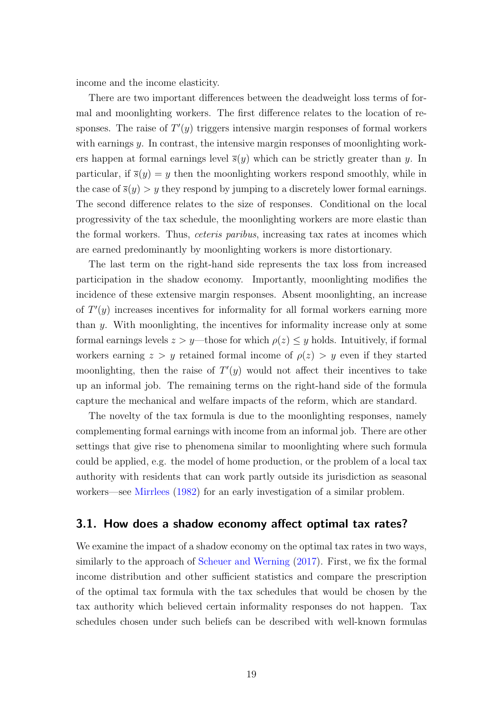income and the income elasticity.

There are two important differences between the deadweight loss terms of formal and moonlighting workers. The first difference relates to the location of responses. The raise of  $T'(y)$  triggers intensive margin responses of formal workers with earnings  $\gamma$ . In contrast, the intensive margin responses of moonlighting workers happen at formal earnings level  $\bar{s}(y)$  which can be strictly greater than y. In particular, if  $\bar{s}(y) = y$  then the moonlighting workers respond smoothly, while in the case of  $\bar{s}(y) > y$  they respond by jumping to a discretely lower formal earnings. The second difference relates to the size of responses. Conditional on the local progressivity of the tax schedule, the moonlighting workers are more elastic than the formal workers. Thus, ceteris paribus, increasing tax rates at incomes which are earned predominantly by moonlighting workers is more distortionary.

The last term on the right-hand side represents the tax loss from increased participation in the shadow economy. Importantly, moonlighting modifies the incidence of these extensive margin responses. Absent moonlighting, an increase of  $T'(y)$  increases incentives for informality for all formal workers earning more than y. With moonlighting, the incentives for informality increase only at some formal earnings levels  $z > y$ —those for which  $\rho(z) \leq y$  holds. Intuitively, if formal workers earning  $z > y$  retained formal income of  $\rho(z) > y$  even if they started moonlighting, then the raise of  $T'(y)$  would not affect their incentives to take up an informal job. The remaining terms on the right-hand side of the formula capture the mechanical and welfare impacts of the reform, which are standard.

The novelty of the tax formula is due to the moonlighting responses, namely complementing formal earnings with income from an informal job. There are other settings that give rise to phenomena similar to moonlighting where such formula could be applied, e.g. the model of home production, or the problem of a local tax authority with residents that can work partly outside its jurisdiction as seasonal workers—see [Mirrlees](#page-48-9) [\(1982\)](#page-48-9) for an early investigation of a similar problem.

## 3.1. How does a shadow economy affect optimal tax rates?

We examine the impact of a shadow economy on the optimal tax rates in two ways, similarly to the approach of [Scheuer and Werning](#page-49-10) [\(2017\)](#page-49-10). First, we fix the formal income distribution and other sufficient statistics and compare the prescription of the optimal tax formula with the tax schedules that would be chosen by the tax authority which believed certain informality responses do not happen. Tax schedules chosen under such beliefs can be described with well-known formulas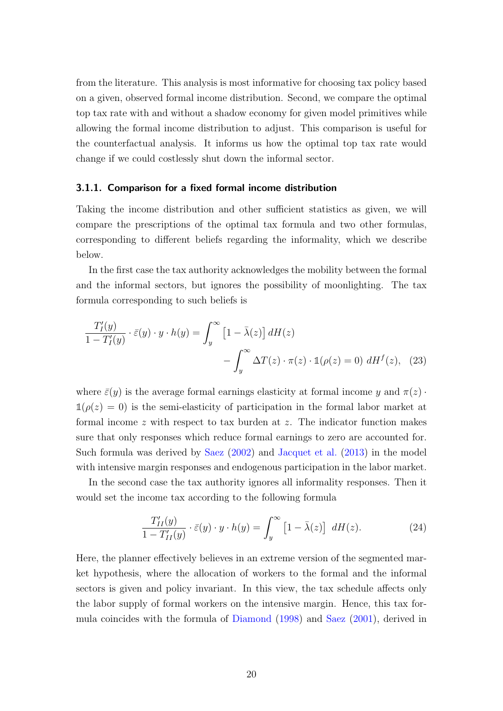from the literature. This analysis is most informative for choosing tax policy based on a given, observed formal income distribution. Second, we compare the optimal top tax rate with and without a shadow economy for given model primitives while allowing the formal income distribution to adjust. This comparison is useful for the counterfactual analysis. It informs us how the optimal top tax rate would change if we could costlessly shut down the informal sector.

#### 3.1.1. Comparison for a fixed formal income distribution

Taking the income distribution and other sufficient statistics as given, we will compare the prescriptions of the optimal tax formula and two other formulas, corresponding to different beliefs regarding the informality, which we describe below.

In the first case the tax authority acknowledges the mobility between the formal and the informal sectors, but ignores the possibility of moonlighting. The tax formula corresponding to such beliefs is

$$
\frac{T'_I(y)}{1 - T'_I(y)} \cdot \bar{\varepsilon}(y) \cdot y \cdot h(y) = \int_y^\infty \left[1 - \bar{\lambda}(z)\right] dH(z) - \int_y^\infty \Delta T(z) \cdot \pi(z) \cdot \mathbb{1}(\rho(z) = 0) dH^f(z), \tag{23}
$$

where  $\bar{\varepsilon}(y)$  is the average formal earnings elasticity at formal income y and  $\pi(z)$ .  $\mathbb{1}(\rho(z) = 0)$  is the semi-elasticity of participation in the formal labor market at formal income  $z$  with respect to tax burden at  $z$ . The indicator function makes sure that only responses which reduce formal earnings to zero are accounted for. Such formula was derived by [Saez](#page-49-11) [\(2002\)](#page-49-11) and [Jacquet et al.](#page-47-10) [\(2013\)](#page-47-10) in the model with intensive margin responses and endogenous participation in the labor market.

In the second case the tax authority ignores all informality responses. Then it would set the income tax according to the following formula

$$
\frac{T'_{II}(y)}{1 - T'_{II}(y)} \cdot \bar{\varepsilon}(y) \cdot y \cdot h(y) = \int_y^\infty \left[1 - \bar{\lambda}(z)\right] dH(z). \tag{24}
$$

Here, the planner effectively believes in an extreme version of the segmented market hypothesis, where the allocation of workers to the formal and the informal sectors is given and policy invariant. In this view, the tax schedule affects only the labor supply of formal workers on the intensive margin. Hence, this tax formula coincides with the formula of [Diamond](#page-45-6) [\(1998\)](#page-45-6) and [Saez](#page-49-9) [\(2001\)](#page-49-9), derived in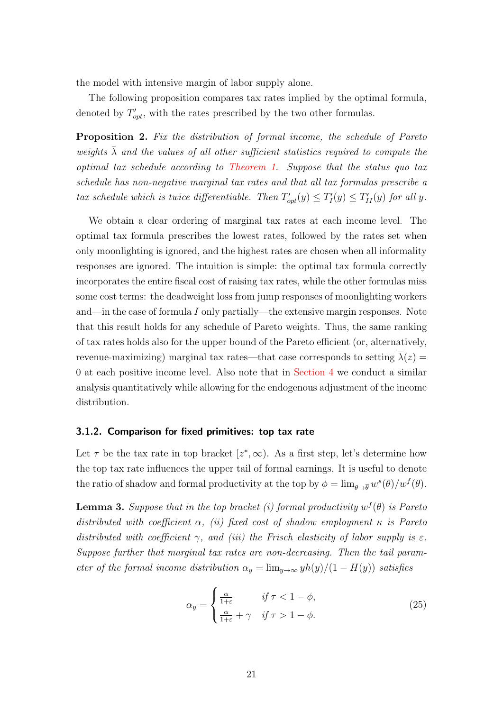the model with intensive margin of labor supply alone.

The following proposition compares tax rates implied by the optimal formula, denoted by  $T'_{opt}$ , with the rates prescribed by the two other formulas.

<span id="page-20-1"></span>Proposition 2. Fix the distribution of formal income, the schedule of Pareto weights  $\overline{\lambda}$  and the values of all other sufficient statistics required to compute the optimal tax schedule according to [Theorem 1.](#page-17-1) Suppose that the status quo tax schedule has non-negative marginal tax rates and that all tax formulas prescribe a tax schedule which is twice differentiable. Then  $T'_{opt}(y) \leq T'_{I}(y) \leq T'_{II}(y)$  for all y.

We obtain a clear ordering of marginal tax rates at each income level. The optimal tax formula prescribes the lowest rates, followed by the rates set when only moonlighting is ignored, and the highest rates are chosen when all informality responses are ignored. The intuition is simple: the optimal tax formula correctly incorporates the entire fiscal cost of raising tax rates, while the other formulas miss some cost terms: the deadweight loss from jump responses of moonlighting workers and—in the case of formula I only partially—the extensive margin responses. Note that this result holds for any schedule of Pareto weights. Thus, the same ranking of tax rates holds also for the upper bound of the Pareto efficient (or, alternatively, revenue-maximizing) marginal tax rates—that case corresponds to setting  $\lambda(z)$  = 0 at each positive income level. Also note that in [Section 4](#page-22-0) we conduct a similar analysis quantitatively while allowing for the endogenous adjustment of the income distribution.

#### 3.1.2. Comparison for fixed primitives: top tax rate

Let  $\tau$  be the tax rate in top bracket  $[z^*,\infty)$ . As a first step, let's determine how the top tax rate influences the upper tail of formal earnings. It is useful to denote the ratio of shadow and formal productivity at the top by  $\phi = \lim_{\theta \to \overline{\theta}} w^s(\theta)/w^f(\theta)$ .

<span id="page-20-0"></span>**Lemma 3.** Suppose that in the top bracket (i) formal productivity  $w^f(\theta)$  is Pareto distributed with coefficient  $\alpha$ , (ii) fixed cost of shadow employment  $\kappa$  is Pareto distributed with coefficient  $\gamma$ , and (iii) the Frisch elasticity of labor supply is  $\varepsilon$ . Suppose further that marginal tax rates are non-decreasing. Then the tail parameter of the formal income distribution  $\alpha_y = \lim_{y \to \infty} yh(y)/(1 - H(y))$  satisfies

$$
\alpha_y = \begin{cases} \frac{\alpha}{1+\varepsilon} & \text{if } \tau < 1-\phi, \\ \frac{\alpha}{1+\varepsilon} + \gamma & \text{if } \tau > 1-\phi. \end{cases} \tag{25}
$$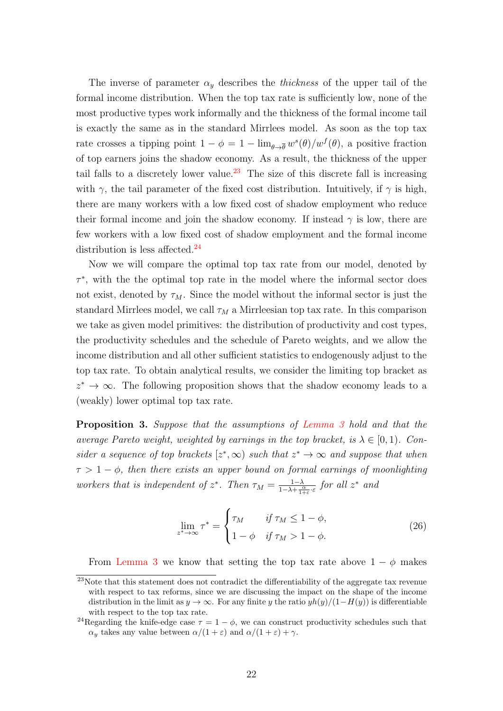The inverse of parameter  $\alpha_y$  describes the *thickness* of the upper tail of the formal income distribution. When the top tax rate is sufficiently low, none of the most productive types work informally and the thickness of the formal income tail is exactly the same as in the standard Mirrlees model. As soon as the top tax rate crosses a tipping point  $1 - \phi = 1 - \lim_{\theta \to \overline{\theta}} w^s(\theta)/w^f(\theta)$ , a positive fraction of top earners joins the shadow economy. As a result, the thickness of the upper tail falls to a discretely lower value.<sup>[23](#page-21-0)</sup> The size of this discrete fall is increasing with  $\gamma$ , the tail parameter of the fixed cost distribution. Intuitively, if  $\gamma$  is high, there are many workers with a low fixed cost of shadow employment who reduce their formal income and join the shadow economy. If instead  $\gamma$  is low, there are few workers with a low fixed cost of shadow employment and the formal income distribution is less affected.<sup>[24](#page-21-1)</sup>

Now we will compare the optimal top tax rate from our model, denoted by  $\tau^*$ , with the the optimal top rate in the model where the informal sector does not exist, denoted by  $\tau_M$ . Since the model without the informal sector is just the standard Mirrlees model, we call  $\tau_M$  a Mirrleesian top tax rate. In this comparison we take as given model primitives: the distribution of productivity and cost types, the productivity schedules and the schedule of Pareto weights, and we allow the income distribution and all other sufficient statistics to endogenously adjust to the top tax rate. To obtain analytical results, we consider the limiting top bracket as  $z^* \to \infty$ . The following proposition shows that the shadow economy leads to a (weakly) lower optimal top tax rate.

<span id="page-21-2"></span>Proposition 3. Suppose that the assumptions of [Lemma 3](#page-20-0) hold and that the average Pareto weight, weighted by earnings in the top bracket, is  $\lambda \in [0,1)$ . Consider a sequence of top brackets  $[z^*,\infty)$  such that  $z^* \to \infty$  and suppose that when  $\tau > 1 - \phi$ , then there exists an upper bound on formal earnings of moonlighting workers that is independent of  $z^*$ . Then  $\tau_M = \frac{1-\lambda}{1-\lambda+\frac{\alpha}{1+\varepsilon}\cdot\varepsilon}$  for all  $z^*$  and

$$
\lim_{z^* \to \infty} \tau^* = \begin{cases} \tau_M & \text{if } \tau_M \le 1 - \phi, \\ 1 - \phi & \text{if } \tau_M > 1 - \phi. \end{cases}
$$
 (26)

From [Lemma 3](#page-20-0) we know that setting the top tax rate above  $1 - \phi$  makes

<span id="page-21-0"></span><sup>&</sup>lt;sup>23</sup>Note that this statement does not contradict the differentiability of the aggregate tax revenue with respect to tax reforms, since we are discussing the impact on the shape of the income distribution in the limit as  $y \to \infty$ . For any finite y the ratio  $yh(y)/(1-H(y))$  is differentiable with respect to the top tax rate.

<span id="page-21-1"></span><sup>&</sup>lt;sup>24</sup>Regarding the knife-edge case  $\tau = 1 - \phi$ , we can construct productivity schedules such that  $\alpha_y$  takes any value between  $\alpha/(1+\varepsilon)$  and  $\alpha/(1+\varepsilon)+\gamma$ .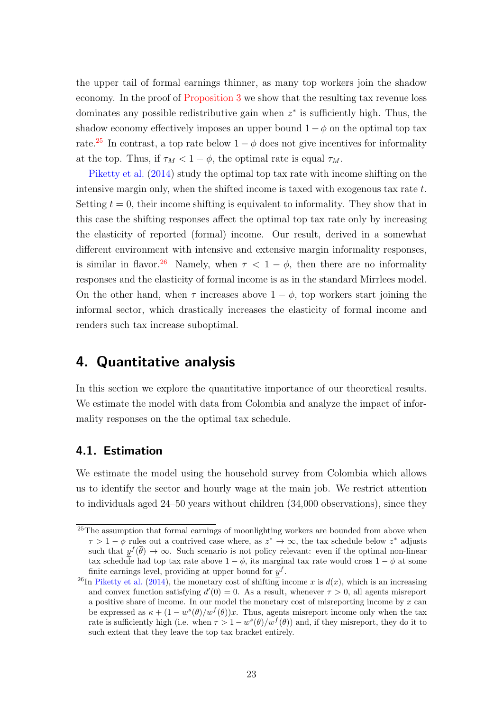the upper tail of formal earnings thinner, as many top workers join the shadow economy. In the proof of [Proposition 3](#page-21-2) we show that the resulting tax revenue loss dominates any possible redistributive gain when  $z^*$  is sufficiently high. Thus, the shadow economy effectively imposes an upper bound  $1 - \phi$  on the optimal top tax rate.<sup>[25](#page-22-1)</sup> In contrast, a top rate below  $1 - \phi$  does not give incentives for informality at the top. Thus, if  $\tau_M < 1 - \phi$ , the optimal rate is equal  $\tau_M$ .

[Piketty et al.](#page-48-4) [\(2014\)](#page-48-4) study the optimal top tax rate with income shifting on the intensive margin only, when the shifted income is taxed with exogenous tax rate t. Setting  $t = 0$ , their income shifting is equivalent to informality. They show that in this case the shifting responses affect the optimal top tax rate only by increasing the elasticity of reported (formal) income. Our result, derived in a somewhat different environment with intensive and extensive margin informality responses, is similar in flavor.<sup>[26](#page-22-2)</sup> Namely, when  $\tau < 1 - \phi$ , then there are no informality responses and the elasticity of formal income is as in the standard Mirrlees model. On the other hand, when  $\tau$  increases above  $1 - \phi$ , top workers start joining the informal sector, which drastically increases the elasticity of formal income and renders such tax increase suboptimal.

## <span id="page-22-0"></span>4. Quantitative analysis

In this section we explore the quantitative importance of our theoretical results. We estimate the model with data from Colombia and analyze the impact of informality responses on the the optimal tax schedule.

## 4.1. Estimation

We estimate the model using the household survey from Colombia which allows us to identify the sector and hourly wage at the main job. We restrict attention to individuals aged 24–50 years without children (34,000 observations), since they

<span id="page-22-1"></span><sup>&</sup>lt;sup>25</sup>The assumption that formal earnings of moonlighting workers are bounded from above when  $\tau > 1 - \phi$  rules out a contrived case where, as  $z^* \to \infty$ , the tax schedule below  $z^*$  adjusts such that  $y^f(\overline{\theta}) \to \infty$ . Such scenario is not policy relevant: even if the optimal non-linear tax schedule had top tax rate above  $1 - \phi$ , its marginal tax rate would cross  $1 - \phi$  at some finite earnings level, providing at upper bound for  $y<sup>f</sup>$ .

<span id="page-22-2"></span><sup>&</sup>lt;sup>26</sup>In [Piketty et al.](#page-48-4) [\(2014\)](#page-48-4), the monetary cost of shifting income x is  $d(x)$ , which is an increasing and convex function satisfying  $d'(0) = 0$ . As a result, whenever  $\tau > 0$ , all agents misreport a positive share of income. In our model the monetary cost of misreporting income by x can be expressed as  $\kappa + (1 - w^s(\theta)/w^f(\theta))x$ . Thus, agents misreport income only when the tax rate is sufficiently high (i.e. when  $\tau > 1 - w^s(\theta)/w^f(\theta)$ ) and, if they misreport, they do it to such extent that they leave the top tax bracket entirely.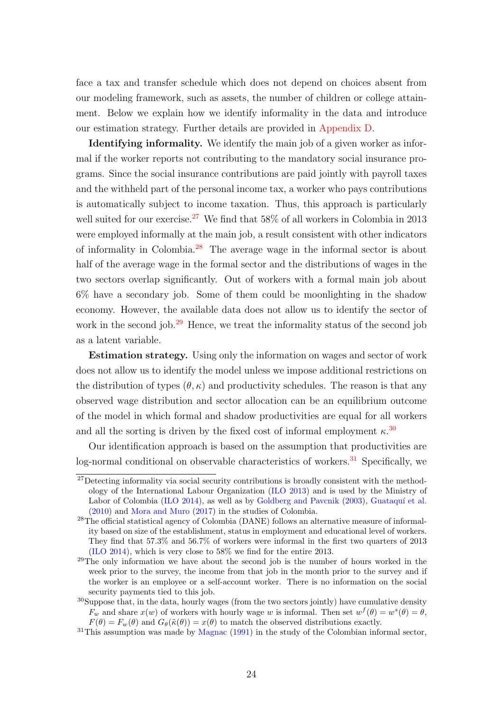face a tax and transfer schedule which does not depend on choices absent from our modeling framework, such as assets, the number of children or college attainment. Below we explain how we identify informality in the data and introduce our estimation strategy. Further details are provided in [Appendix D.](#page-42-0)

Identifying informality. We identify the main job of a given worker as informal if the worker reports not contributing to the mandatory social insurance programs. Since the social insurance contributions are paid jointly with payroll taxes and the withheld part of the personal income tax, a worker who pays contributions is automatically subject to income taxation. Thus, this approach is particularly well suited for our exercise.<sup>[27](#page-23-0)</sup> We find that  $58\%$  of all workers in Colombia in 2013 were employed informally at the main job, a result consistent with other indicators of informality in Colombia.[28](#page-23-1) The average wage in the informal sector is about half of the average wage in the formal sector and the distributions of wages in the two sectors overlap significantly. Out of workers with a formal main job about 6% have a secondary job. Some of them could be moonlighting in the shadow economy. However, the available data does not allow us to identify the sector of work in the second job.<sup>[29](#page-23-2)</sup> Hence, we treat the informality status of the second job as a latent variable.

Estimation strategy. Using only the information on wages and sector of work does not allow us to identify the model unless we impose additional restrictions on the distribution of types  $(\theta, \kappa)$  and productivity schedules. The reason is that any observed wage distribution and sector allocation can be an equilibrium outcome of the model in which formal and shadow productivities are equal for all workers and all the sorting is driven by the fixed cost of informal employment  $\kappa$ <sup>[30](#page-23-3)</sup>

Our identification approach is based on the assumption that productivities are  $log-normal$  conditional on observable characteristics of workers.<sup>[31](#page-23-4)</sup> Specifically, we

<span id="page-23-0"></span><sup>27</sup>Detecting informality via social security contributions is broadly consistent with the methodology of the International Labour Organization [\(ILO](#page-46-8) [2013\)](#page-46-8) and is used by the Ministry of Labor of Colombia [\(ILO](#page-47-11) [2014\)](#page-47-11), as well as by [Goldberg and Pavcnik](#page-46-9) [\(2003\)](#page-46-9), Guataquí et al. [\(2010\)](#page-46-10) and [Mora and Muro](#page-48-10) [\(2017\)](#page-48-10) in the studies of Colombia.

<span id="page-23-1"></span><sup>&</sup>lt;sup>28</sup>The official statistical agency of Colombia (DANE) follows an alternative measure of informality based on size of the establishment, status in employment and educational level of workers. They find that 57.3% and 56.7% of workers were informal in the first two quarters of 2013 [\(ILO](#page-47-11) [2014\)](#page-47-11), which is very close to 58% we find for the entire 2013.

<span id="page-23-2"></span> $29$ The only information we have about the second job is the number of hours worked in the week prior to the survey, the income from that job in the month prior to the survey and if the worker is an employee or a self-account worker. There is no information on the social security payments tied to this job.

<span id="page-23-3"></span> $30$ Suppose that, in the data, hourly wages (from the two sectors jointly) have cumulative density  $F_w$  and share  $x(w)$  of workers with hourly wage w is informal. Then set  $w^f(\theta) = w^s(\theta) = \theta$ ,  $F(\theta) = F_w(\theta)$  and  $G_{\theta}(\tilde{\kappa}(\theta)) = x(\theta)$  to match the observed distributions exactly.

<span id="page-23-4"></span> $31$ This assumption was made by [Magnac](#page-47-7) [\(1991\)](#page-47-7) in the study of the Colombian informal sector,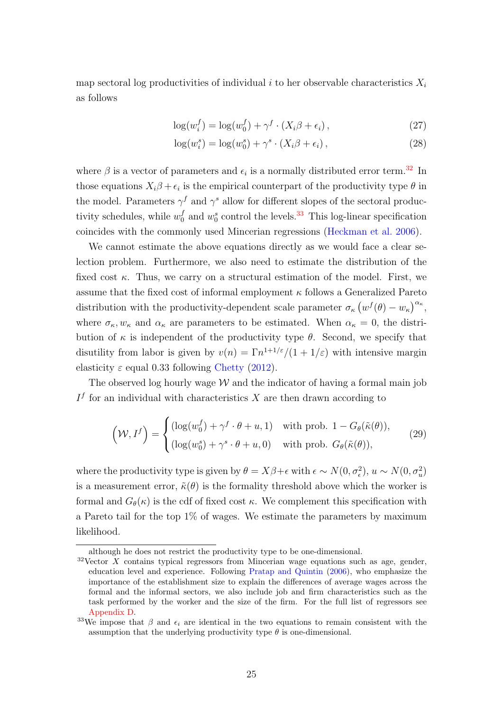map sectoral log productivities of individual i to her observable characteristics  $X_i$ as follows

$$
\log(w_i^f) = \log(w_0^f) + \gamma^f \cdot (X_i \beta + \epsilon_i), \qquad (27)
$$

$$
\log(w_i^s) = \log(w_0^s) + \gamma^s \cdot (X_i \beta + \epsilon_i), \qquad (28)
$$

where  $\beta$  is a vector of parameters and  $\epsilon_i$  is a normally distributed error term.<sup>[32](#page-24-0)</sup> In those equations  $X_i\beta + \epsilon_i$  is the empirical counterpart of the productivity type  $\theta$  in the model. Parameters  $\gamma^f$  and  $\gamma^s$  allow for different slopes of the sectoral productivity schedules, while  $w_0^f$  $\int_0^f$  and  $w_0^s$  control the levels.<sup>[33](#page-24-1)</sup> This log-linear specification coincides with the commonly used Mincerian regressions [\(Heckman et al.](#page-46-11) [2006\)](#page-46-11).

We cannot estimate the above equations directly as we would face a clear selection problem. Furthermore, we also need to estimate the distribution of the fixed cost  $\kappa$ . Thus, we carry on a structural estimation of the model. First, we assume that the fixed cost of informal employment  $\kappa$  follows a Generalized Pareto distribution with the productivity-dependent scale parameter  $\sigma_{\kappa} (w^f(\theta) - w_{\kappa})^{\alpha_{\kappa}},$ where  $\sigma_{\kappa}, w_{\kappa}$  and  $\alpha_{\kappa}$  are parameters to be estimated. When  $\alpha_{\kappa} = 0$ , the distribution of  $\kappa$  is independent of the productivity type  $\theta$ . Second, we specify that disutility from labor is given by  $v(n) = \Gamma n^{1+1/\varepsilon}/(1+1/\varepsilon)$  with intensive margin elasticity  $\varepsilon$  equal 0.33 following [Chetty](#page-45-9) [\(2012\)](#page-45-9).

The observed log hourly wage  $W$  and the indicator of having a formal main job  $I<sup>f</sup>$  for an individual with characteristics X are then drawn according to

$$
\left(\mathcal{W}, I^f\right) = \begin{cases}\n(\log(w_0^f) + \gamma^f \cdot \theta + u, 1) & \text{with prob. } 1 - G_\theta(\tilde{\kappa}(\theta)), \\
(\log(w_0^s) + \gamma^s \cdot \theta + u, 0) & \text{with prob. } G_\theta(\tilde{\kappa}(\theta)),\n\end{cases}
$$
\n(29)

where the productivity type is given by  $\theta = X\beta + \epsilon$  with  $\epsilon \sim N(0, \sigma_{\epsilon}^2), u \sim N(0, \sigma_u^2)$ is a measurement error,  $\tilde{\kappa}(\theta)$  is the formality threshold above which the worker is formal and  $G_{\theta}(\kappa)$  is the cdf of fixed cost  $\kappa$ . We complement this specification with a Pareto tail for the top 1% of wages. We estimate the parameters by maximum likelihood.

although he does not restrict the productivity type to be one-dimensional.

<span id="page-24-0"></span> $32$ Vector X contains typical regressors from Mincerian wage equations such as age, gender, education level and experience. Following [Pratap and Quintin](#page-48-7) [\(2006\)](#page-48-7), who emphasize the importance of the establishment size to explain the differences of average wages across the formal and the informal sectors, we also include job and firm characteristics such as the task performed by the worker and the size of the firm. For the full list of regressors see [Appendix D.](#page-42-0)

<span id="page-24-1"></span><sup>&</sup>lt;sup>33</sup>We impose that  $\beta$  and  $\epsilon_i$  are identical in the two equations to remain consistent with the assumption that the underlying productivity type  $\theta$  is one-dimensional.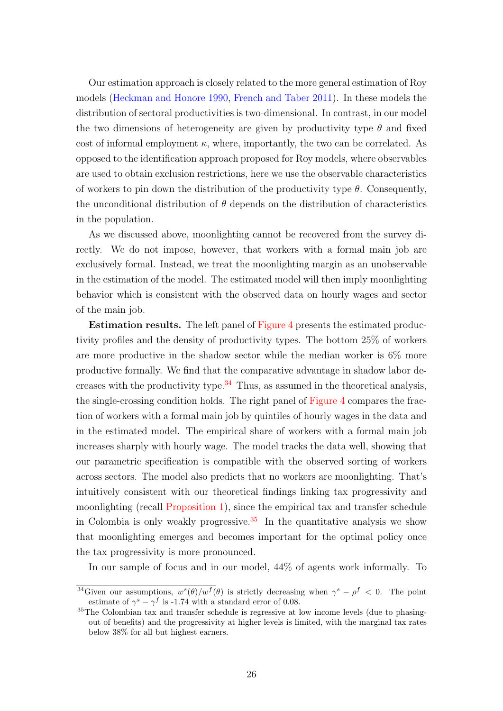Our estimation approach is closely related to the more general estimation of Roy models [\(Heckman and Honore](#page-46-12) [1990,](#page-46-12) [French and Taber](#page-45-10) [2011\)](#page-45-10). In these models the distribution of sectoral productivities is two-dimensional. In contrast, in our model the two dimensions of heterogeneity are given by productivity type  $\theta$  and fixed cost of informal employment  $\kappa$ , where, importantly, the two can be correlated. As opposed to the identification approach proposed for Roy models, where observables are used to obtain exclusion restrictions, here we use the observable characteristics of workers to pin down the distribution of the productivity type  $\theta$ . Consequently, the unconditional distribution of  $\theta$  depends on the distribution of characteristics in the population.

As we discussed above, moonlighting cannot be recovered from the survey directly. We do not impose, however, that workers with a formal main job are exclusively formal. Instead, we treat the moonlighting margin as an unobservable in the estimation of the model. The estimated model will then imply moonlighting behavior which is consistent with the observed data on hourly wages and sector of the main job.

Estimation results. The left panel of [Figure 4](#page-26-0) presents the estimated productivity profiles and the density of productivity types. The bottom 25% of workers are more productive in the shadow sector while the median worker is 6% more productive formally. We find that the comparative advantage in shadow labor de-creases with the productivity type.<sup>[34](#page-25-0)</sup> Thus, as assumed in the theoretical analysis, the single-crossing condition holds. The right panel of [Figure 4](#page-26-0) compares the fraction of workers with a formal main job by quintiles of hourly wages in the data and in the estimated model. The empirical share of workers with a formal main job increases sharply with hourly wage. The model tracks the data well, showing that our parametric specification is compatible with the observed sorting of workers across sectors. The model also predicts that no workers are moonlighting. That's intuitively consistent with our theoretical findings linking tax progressivity and moonlighting (recall [Proposition 1\)](#page-9-2), since the empirical tax and transfer schedule in Colombia is only weakly progressive.<sup>[35](#page-25-1)</sup> In the quantitative analysis we show that moonlighting emerges and becomes important for the optimal policy once the tax progressivity is more pronounced.

In our sample of focus and in our model, 44% of agents work informally. To

<span id="page-25-0"></span><sup>&</sup>lt;sup>34</sup>Given our assumptions,  $w^{s}(\theta)/w^{f}(\theta)$  is strictly decreasing when  $\gamma^{s} - \rho^{f} < 0$ . The point estimate of  $\gamma^s - \gamma^f$  is -1.74 with a standard error of 0.08.

<span id="page-25-1"></span><sup>&</sup>lt;sup>35</sup>The Colombian tax and transfer schedule is regressive at low income levels (due to phasingout of benefits) and the progressivity at higher levels is limited, with the marginal tax rates below 38% for all but highest earners.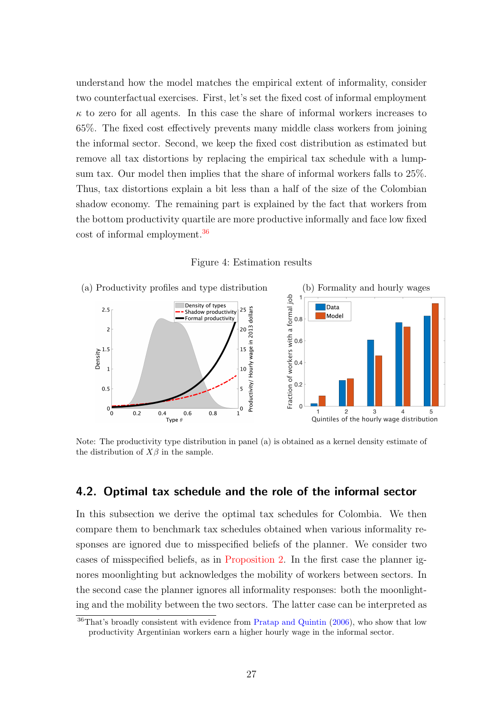understand how the model matches the empirical extent of informality, consider two counterfactual exercises. First, let's set the fixed cost of informal employment  $\kappa$  to zero for all agents. In this case the share of informal workers increases to 65%. The fixed cost effectively prevents many middle class workers from joining the informal sector. Second, we keep the fixed cost distribution as estimated but remove all tax distortions by replacing the empirical tax schedule with a lumpsum tax. Our model then implies that the share of informal workers falls to 25%. Thus, tax distortions explain a bit less than a half of the size of the Colombian shadow economy. The remaining part is explained by the fact that workers from the bottom productivity quartile are more productive informally and face low fixed cost of informal employment.[36](#page-26-1)

#### Figure 4: Estimation results

<span id="page-26-0"></span>

Note: The productivity type distribution in panel (a) is obtained as a kernel density estimate of the distribution of  $X\beta$  in the sample.

## 4.2. Optimal tax schedule and the role of the informal sector

In this subsection we derive the optimal tax schedules for Colombia. We then compare them to benchmark tax schedules obtained when various informality responses are ignored due to misspecified beliefs of the planner. We consider two cases of misspecified beliefs, as in [Proposition 2.](#page-20-1) In the first case the planner ignores moonlighting but acknowledges the mobility of workers between sectors. In the second case the planner ignores all informality responses: both the moonlighting and the mobility between the two sectors. The latter case can be interpreted as

<span id="page-26-1"></span><sup>&</sup>lt;sup>36</sup>That's broadly consistent with evidence from [Pratap and Quintin](#page-48-7) [\(2006\)](#page-48-7), who show that low productivity Argentinian workers earn a higher hourly wage in the informal sector.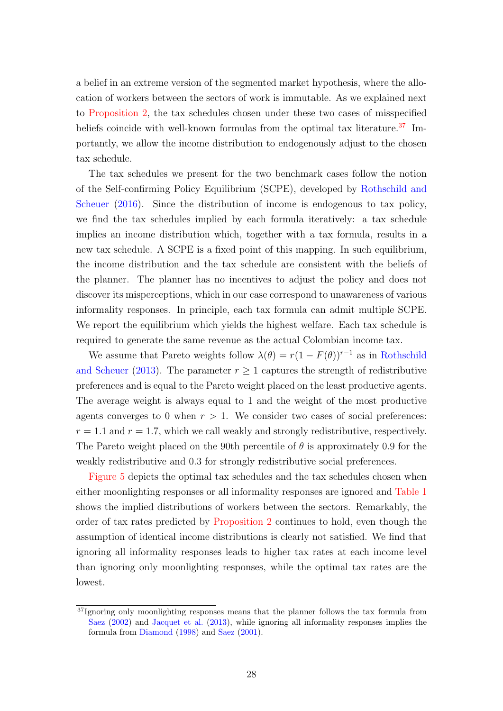a belief in an extreme version of the segmented market hypothesis, where the allocation of workers between the sectors of work is immutable. As we explained next to [Proposition 2,](#page-20-1) the tax schedules chosen under these two cases of misspecified beliefs coincide with well-known formulas from the optimal tax literature.<sup>[37](#page-27-0)</sup> Importantly, we allow the income distribution to endogenously adjust to the chosen tax schedule.

The tax schedules we present for the two benchmark cases follow the notion of the Self-confirming Policy Equilibrium (SCPE), developed by [Rothschild and](#page-48-11) [Scheuer](#page-48-11) [\(2016\)](#page-48-11). Since the distribution of income is endogenous to tax policy, we find the tax schedules implied by each formula iteratively: a tax schedule implies an income distribution which, together with a tax formula, results in a new tax schedule. A SCPE is a fixed point of this mapping. In such equilibrium, the income distribution and the tax schedule are consistent with the beliefs of the planner. The planner has no incentives to adjust the policy and does not discover its misperceptions, which in our case correspond to unawareness of various informality responses. In principle, each tax formula can admit multiple SCPE. We report the equilibrium which yields the highest welfare. Each tax schedule is required to generate the same revenue as the actual Colombian income tax.

We assume that Pareto weights follow  $\lambda(\theta) = r(1 - F(\theta))^{r-1}$  as in [Rothschild](#page-48-12) [and Scheuer](#page-48-12) [\(2013\)](#page-48-12). The parameter  $r \geq 1$  captures the strength of redistributive preferences and is equal to the Pareto weight placed on the least productive agents. The average weight is always equal to 1 and the weight of the most productive agents converges to 0 when  $r > 1$ . We consider two cases of social preferences:  $r = 1.1$  and  $r = 1.7$ , which we call weakly and strongly redistributive, respectively. The Pareto weight placed on the 90th percentile of  $\theta$  is approximately 0.9 for the weakly redistributive and 0.3 for strongly redistributive social preferences.

[Figure 5](#page-28-0) depicts the optimal tax schedules and the tax schedules chosen when either moonlighting responses or all informality responses are ignored and [Table 1](#page-28-1) shows the implied distributions of workers between the sectors. Remarkably, the order of tax rates predicted by [Proposition 2](#page-20-1) continues to hold, even though the assumption of identical income distributions is clearly not satisfied. We find that ignoring all informality responses leads to higher tax rates at each income level than ignoring only moonlighting responses, while the optimal tax rates are the lowest.

<span id="page-27-0"></span><sup>&</sup>lt;sup>37</sup>Ignoring only moonlighting responses means that the planner follows the tax formula from [Saez](#page-49-11) [\(2002\)](#page-49-11) and [Jacquet et al.](#page-47-10) [\(2013\)](#page-47-10), while ignoring all informality responses implies the formula from [Diamond](#page-45-6) [\(1998\)](#page-45-6) and [Saez](#page-49-9) [\(2001\)](#page-49-9).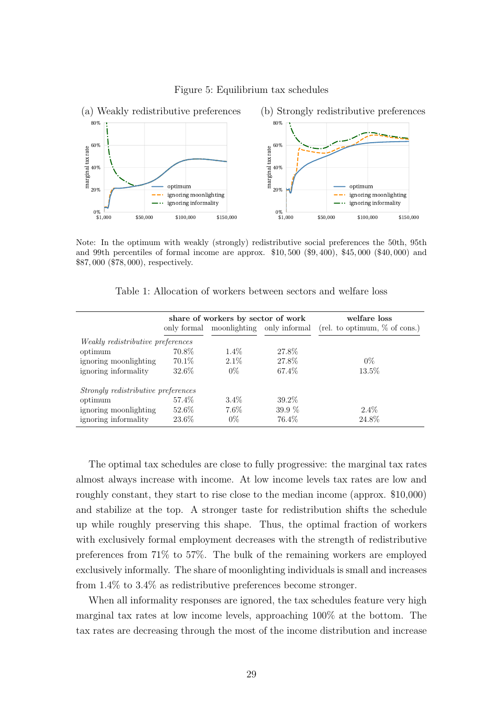

<span id="page-28-0"></span>

<span id="page-28-1"></span>Note: In the optimum with weakly (strongly) redistributive social preferences the 50th, 95th and 99th percentiles of formal income are approx. \$10, 500 (\$9, 400), \$45, 000 (\$40, 000) and \$87, 000 (\$78, 000), respectively.

| Table 1: Allocation of workers between sectors and welfare loss |  |  |
|-----------------------------------------------------------------|--|--|
|-----------------------------------------------------------------|--|--|

|                                            | share of workers by sector of work |                                        |          | welfare loss                     |  |  |
|--------------------------------------------|------------------------------------|----------------------------------------|----------|----------------------------------|--|--|
|                                            |                                    | only formal moonlighting only informal |          | (rel. to optimum, $\%$ of cons.) |  |  |
| <i>Weakly redistributive preferences</i>   |                                    |                                        |          |                                  |  |  |
| optimum                                    | 70.8%                              | $1.4\%$                                | 27.8%    |                                  |  |  |
| ignoring moonlighting                      | 70.1\%                             | $2.1\%$                                | 27.8%    | $0\%$                            |  |  |
| ignoring informality                       | 32.6%                              | $0\%$                                  | 67.4\%   | 13.5%                            |  |  |
| <i>Strongly redistributive preferences</i> |                                    |                                        |          |                                  |  |  |
| optimum                                    | 57.4\%                             | $3.4\%$                                | 39.2\%   |                                  |  |  |
| ignoring moonlighting                      | 52.6\%                             | $7.6\%$                                | $39.9\%$ | $2.4\%$                          |  |  |
| ignoring informality                       | 23.6\%                             | $0\%$                                  | 76.4\%   | 24.8%                            |  |  |

The optimal tax schedules are close to fully progressive: the marginal tax rates almost always increase with income. At low income levels tax rates are low and roughly constant, they start to rise close to the median income (approx. \$10,000) and stabilize at the top. A stronger taste for redistribution shifts the schedule up while roughly preserving this shape. Thus, the optimal fraction of workers with exclusively formal employment decreases with the strength of redistributive preferences from 71% to 57%. The bulk of the remaining workers are employed exclusively informally. The share of moonlighting individuals is small and increases from 1.4% to 3.4% as redistributive preferences become stronger.

When all informality responses are ignored, the tax schedules feature very high marginal tax rates at low income levels, approaching 100% at the bottom. The tax rates are decreasing through the most of the income distribution and increase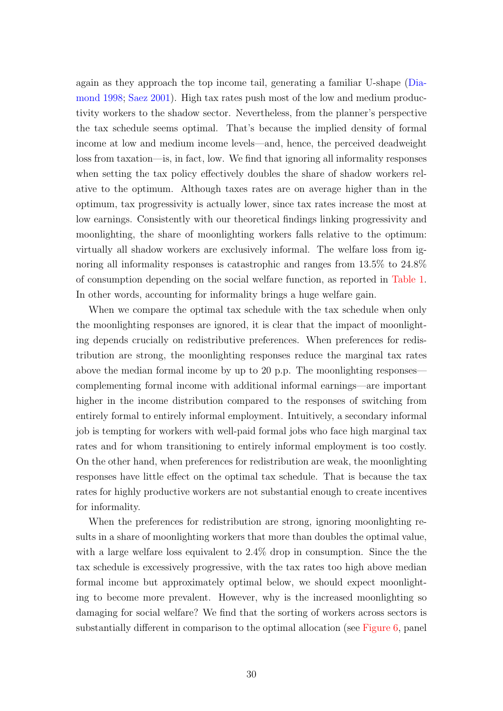again as they approach the top income tail, generating a familiar U-shape [\(Dia](#page-45-6)[mond](#page-45-6) [1998;](#page-45-6) [Saez](#page-49-9) [2001\)](#page-49-9). High tax rates push most of the low and medium productivity workers to the shadow sector. Nevertheless, from the planner's perspective the tax schedule seems optimal. That's because the implied density of formal income at low and medium income levels—and, hence, the perceived deadweight loss from taxation—is, in fact, low. We find that ignoring all informality responses when setting the tax policy effectively doubles the share of shadow workers relative to the optimum. Although taxes rates are on average higher than in the optimum, tax progressivity is actually lower, since tax rates increase the most at low earnings. Consistently with our theoretical findings linking progressivity and moonlighting, the share of moonlighting workers falls relative to the optimum: virtually all shadow workers are exclusively informal. The welfare loss from ignoring all informality responses is catastrophic and ranges from  $13.5\%$  to  $24.8\%$ of consumption depending on the social welfare function, as reported in [Table 1.](#page-28-1) In other words, accounting for informality brings a huge welfare gain.

When we compare the optimal tax schedule with the tax schedule when only the moonlighting responses are ignored, it is clear that the impact of moonlighting depends crucially on redistributive preferences. When preferences for redistribution are strong, the moonlighting responses reduce the marginal tax rates above the median formal income by up to 20 p.p. The moonlighting responses complementing formal income with additional informal earnings—are important higher in the income distribution compared to the responses of switching from entirely formal to entirely informal employment. Intuitively, a secondary informal job is tempting for workers with well-paid formal jobs who face high marginal tax rates and for whom transitioning to entirely informal employment is too costly. On the other hand, when preferences for redistribution are weak, the moonlighting responses have little effect on the optimal tax schedule. That is because the tax rates for highly productive workers are not substantial enough to create incentives for informality.

When the preferences for redistribution are strong, ignoring moonlighting results in a share of moonlighting workers that more than doubles the optimal value, with a large welfare loss equivalent to 2.4% drop in consumption. Since the the tax schedule is excessively progressive, with the tax rates too high above median formal income but approximately optimal below, we should expect moonlighting to become more prevalent. However, why is the increased moonlighting so damaging for social welfare? We find that the sorting of workers across sectors is substantially different in comparison to the optimal allocation (see [Figure 6,](#page-30-0) panel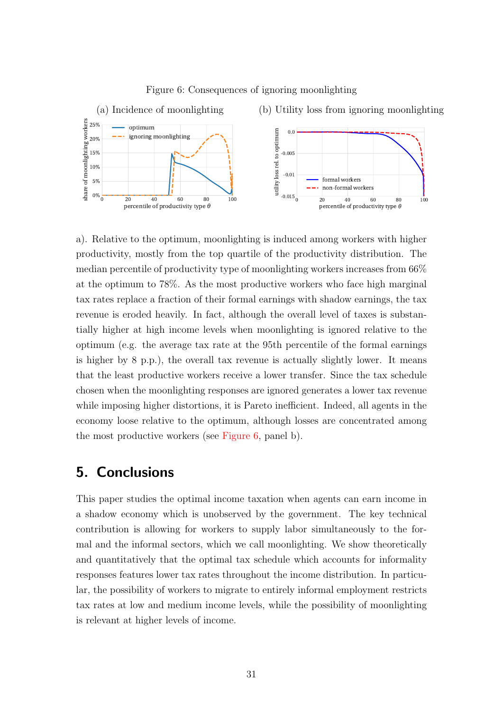<span id="page-30-0"></span>

Figure 6: Consequences of ignoring moonlighting

a). Relative to the optimum, moonlighting is induced among workers with higher productivity, mostly from the top quartile of the productivity distribution. The median percentile of productivity type of moonlighting workers increases from 66% at the optimum to 78%. As the most productive workers who face high marginal tax rates replace a fraction of their formal earnings with shadow earnings, the tax revenue is eroded heavily. In fact, although the overall level of taxes is substantially higher at high income levels when moonlighting is ignored relative to the optimum (e.g. the average tax rate at the 95th percentile of the formal earnings is higher by 8 p.p.), the overall tax revenue is actually slightly lower. It means that the least productive workers receive a lower transfer. Since the tax schedule chosen when the moonlighting responses are ignored generates a lower tax revenue while imposing higher distortions, it is Pareto inefficient. Indeed, all agents in the economy loose relative to the optimum, although losses are concentrated among the most productive workers (see [Figure 6,](#page-30-0) panel b).

# 5. Conclusions

This paper studies the optimal income taxation when agents can earn income in a shadow economy which is unobserved by the government. The key technical contribution is allowing for workers to supply labor simultaneously to the formal and the informal sectors, which we call moonlighting. We show theoretically and quantitatively that the optimal tax schedule which accounts for informality responses features lower tax rates throughout the income distribution. In particular, the possibility of workers to migrate to entirely informal employment restricts tax rates at low and medium income levels, while the possibility of moonlighting is relevant at higher levels of income.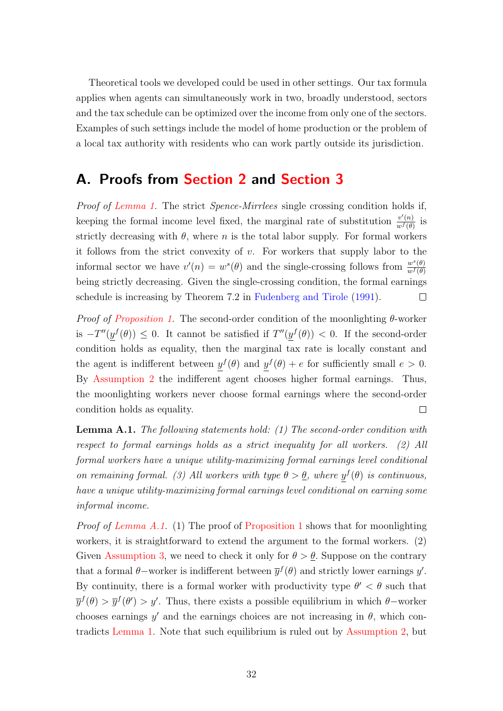Theoretical tools we developed could be used in other settings. Our tax formula applies when agents can simultaneously work in two, broadly understood, sectors and the tax schedule can be optimized over the income from only one of the sectors. Examples of such settings include the model of home production or the problem of a local tax authority with residents who can work partly outside its jurisdiction.

## A. Proofs from [Section 2](#page-5-1) and [Section 3](#page-11-0)

Proof of [Lemma 1.](#page-7-3) The strict Spence-Mirrlees single crossing condition holds if, keeping the formal income level fixed, the marginal rate of substitution  $\frac{v'(n)}{m! (n)}$  $\frac{v'(n)}{w^f(\theta)}$  is strictly decreasing with  $\theta$ , where n is the total labor supply. For formal workers it follows from the strict convexity of v. For workers that supply labor to the informal sector we have  $v'(n) = w^s(\theta)$  and the single-crossing follows from  $\frac{w^s(\theta)}{w^f(\theta)}$  $\overline{w^f(\theta)}$ being strictly decreasing. Given the single-crossing condition, the formal earnings schedule is increasing by Theorem 7.2 in [Fudenberg and Tirole](#page-45-11) [\(1991\)](#page-45-11). П

*Proof of [Proposition 1.](#page-9-2)* The second-order condition of the moonlighting  $\theta$ -worker is  $-T''(y^f(\theta)) \leq 0$ . It cannot be satisfied if  $T''(y^f(\theta)) < 0$ . If the second-order condition holds as equality, then the marginal tax rate is locally constant and the agent is indifferent between  $y^f(\theta)$  and  $y^f(\theta) + e$  for sufficiently small  $e > 0$ . By [Assumption 2](#page-7-2) the indifferent agent chooses higher formal earnings. Thus, the moonlighting workers never choose formal earnings where the second-order condition holds as equality.  $\Box$ 

<span id="page-31-0"></span>Lemma A.1. The following statements hold: (1) The second-order condition with respect to formal earnings holds as a strict inequality for all workers. (2) All formal workers have a unique utility-maximizing formal earnings level conditional on remaining formal. (3) All workers with type  $\theta > \underline{\theta}$ , where  $y^f(\theta)$  is continuous, have a unique utility-maximizing formal earnings level conditional on earning some informal income.

*Proof of [Lemma A.1.](#page-31-0)* (1) The proof of [Proposition 1](#page-9-2) shows that for moonlighting workers, it is straightforward to extend the argument to the formal workers. (2) Given [Assumption 3,](#page-11-3) we need to check it only for  $\theta > \underline{\theta}$ . Suppose on the contrary that a formal  $\theta$ -worker is indifferent between  $\overline{y}^f(\theta)$  and strictly lower earnings y'. By continuity, there is a formal worker with productivity type  $\theta' < \theta$  such that  $\overline{y}^{f}(\theta) > \overline{y}^{f}(\theta') > y'$ . Thus, there exists a possible equilibrium in which  $\theta$ -worker chooses earnings  $y'$  and the earnings choices are not increasing in  $\theta$ , which contradicts [Lemma 1.](#page-7-3) Note that such equilibrium is ruled out by [Assumption 2,](#page-7-2) but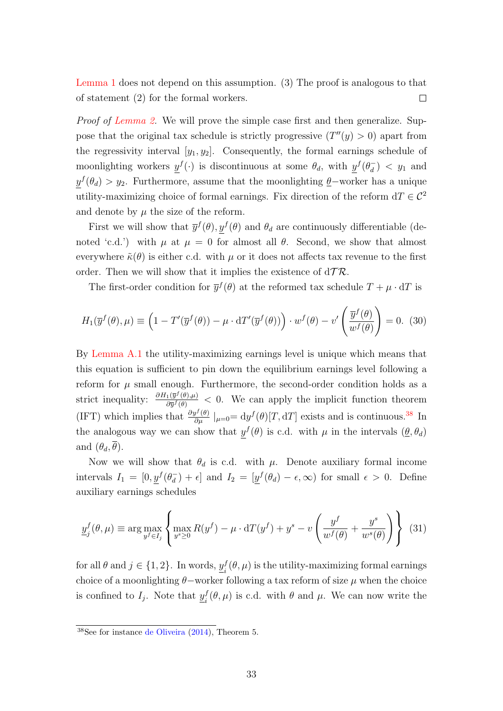[Lemma 1](#page-7-3) does not depend on this assumption. (3) The proof is analogous to that of statement (2) for the formal workers.  $\Box$ 

Proof of [Lemma 2.](#page-13-0) We will prove the simple case first and then generalize. Suppose that the original tax schedule is strictly progressive  $(T''(y) > 0)$  apart from the regressivity interval  $[y_1, y_2]$ . Consequently, the formal earnings schedule of moonlighting workers  $y^f(\cdot)$  is discontinuous at some  $\theta_d$ , with  $y^f(\theta_d)$  $y_1$   $\mid$   $\frac{1}{d}$   $\mid$   $\mid$   $\frac{1}{d}$  and  $y^f(\theta_d) > y_2$ . Furthermore, assume that the moonlighting  $\underline{\theta}$ -worker has a unique utility-maximizing choice of formal earnings. Fix direction of the reform  $dT \in C^2$ and denote by  $\mu$  the size of the reform.

First we will show that  $\bar{y}^f(\theta), y^f(\theta)$  and  $\theta_d$  are continuously differentiable (denoted 'c.d.') with  $\mu$  at  $\mu = 0$  for almost all  $\theta$ . Second, we show that almost everywhere  $\tilde{\kappa}(\theta)$  is either c.d. with  $\mu$  or it does not affects tax revenue to the first order. Then we will show that it implies the existence of  $d\mathcal{T}\mathcal{R}$ .

The first-order condition for  $\bar{y}^f(\theta)$  at the reformed tax schedule  $T + \mu \cdot dT$  is

$$
H_1(\overline{y}^f(\theta), \mu) \equiv \left(1 - T'(\overline{y}^f(\theta)) - \mu \cdot dT'(\overline{y}^f(\theta))\right) \cdot w^f(\theta) - v' \left(\frac{\overline{y}^f(\theta)}{w^f(\theta)}\right) = 0. \tag{30}
$$

By [Lemma A.1](#page-31-0) the utility-maximizing earnings level is unique which means that this equation is sufficient to pin down the equilibrium earnings level following a reform for  $\mu$  small enough. Furthermore, the second-order condition holds as a strict inequality:  $f(\theta),\mu)$  $\frac{\partial \left( \frac{\partial f}{\partial y'}(\theta) , \mu \right)}{\partial \overline{y'}(\theta)}$  < 0. We can apply the implicit function theorem (IFT) which implies that  $\frac{\partial y^f(\theta)}{\partial \mu}|_{\mu=0} = dy^f(\theta)[T, dT]$  exists and is continuous.<sup>[38](#page-32-0)</sup> In the analogous way we can show that  $y^f(\theta)$  is c.d. with  $\mu$  in the intervals  $(\underline{\theta}, \theta_d)$ and  $(\theta_d, \overline{\theta})$ .

Now we will show that  $\theta_d$  is c.d. with  $\mu$ . Denote auxiliary formal income intervals  $I_1 = [0, y^f(\theta_d^{-})]$  $\left(\frac{d}{d}\right) + \epsilon$  and  $I_2 = \left[\underline{y}^f(\theta_d) - \epsilon, \infty\right)$  for small  $\epsilon > 0$ . Define auxiliary earnings schedules

<span id="page-32-1"></span>
$$
\underline{y}_j^f(\theta,\mu) \equiv \arg \max_{y^f \in I_j} \left\{ \max_{y^s \ge 0} R(y^f) - \mu \cdot dT(y^f) + y^s - v \left( \frac{y^f}{w^f(\theta)} + \frac{y^s}{w^s(\theta)} \right) \right\} (31)
$$

for all  $\theta$  and  $j \in \{1, 2\}$ . In words,  $y_i^f$  $i^f_i(\theta, \mu)$  is the utility-maximizing formal earnings choice of a moonlighting  $\theta$ -worker following a tax reform of size  $\mu$  when the choice is confined to  $I_j$ . Note that  $y_i^f$  $i^f_i(\theta, \mu)$  is c.d. with  $\theta$  and  $\mu$ . We can now write the

<span id="page-32-0"></span> $38$ See for instance [de Oliveira](#page-45-12) [\(2014\)](#page-45-12), Theorem 5.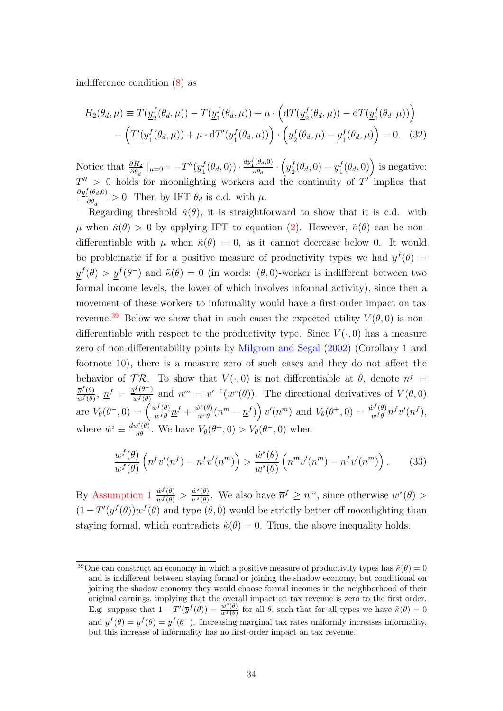indifference condition [\(8\)](#page-10-3) as

$$
H_2(\theta_d, \mu) \equiv T(\underline{y}_2^f(\theta_d, \mu)) - T(\underline{y}_1^f(\theta_d, \mu)) + \mu \cdot \left(\mathrm{d}T(\underline{y}_2^f(\theta_d, \mu)) - \mathrm{d}T(\underline{y}_1^f(\theta_d, \mu))\right) - \left(T'(\underline{y}_1^f(\theta_d, \mu)) + \mu \cdot \mathrm{d}T'(\underline{y}_1^f(\theta_d, \mu))\right) \cdot \left(\underline{y}_2^f(\theta_d, \mu) - \underline{y}_1^f(\theta_d, \mu)\right) = 0. \quad (32)
$$

Notice that  $\frac{\partial H_2}{\partial \theta_d} |_{\mu=0} = -T''(\underline{y}_1^f)$  $\frac{f_1(\theta_d,0)) \cdot \frac{dy_1^f(\theta_d,0)}{d\theta_d}}$  $\frac{d^f(\theta_d,0)}{d\theta_d}\cdot \bigg(y^f_2$  $\underline{y}^f_2(\theta_d,0) - \underline{y}_1^f$  $\binom{f(\theta_d,0)}{1}$  is negative:  $T'' > 0$  holds for moonlighting workers and the continuity of  $T'$  implies that  $\partial \underline{y}_1^f(\theta_d,0)$  $\frac{\partial \Gamma^{(v_d, v)}\partial \theta_d}{\partial \theta_d} > 0$ . Then by IFT  $\theta_d$  is c.d. with  $\mu$ .

Regarding threshold  $\tilde{\kappa}(\theta)$ , it is straightforward to show that it is c.d. with  $\mu$  when  $\tilde{\kappa}(\theta) > 0$  by applying IFT to equation [\(2\)](#page-8-3). However,  $\tilde{\kappa}(\theta)$  can be nondifferentiable with  $\mu$  when  $\tilde{\kappa}(\theta) = 0$ , as it cannot decrease below 0. It would be problematic if for a positive measure of productivity types we had  $\bar{y}^f(\theta) =$  $y^f(\theta) > y^f(\theta^-)$  and  $\tilde{\kappa}(\theta) = 0$  (in words:  $(\theta, 0)$ -worker is indifferent between two formal income levels, the lower of which involves informal activity), since then a movement of these workers to informality would have a first-order impact on tax revenue.<sup>[39](#page-33-0)</sup> Below we show that in such cases the expected utility  $V(\theta,0)$  is nondifferentiable with respect to the productivity type. Since  $V(\cdot, 0)$  has a measure zero of non-differentability points by [Milgrom and Segal](#page-47-8) [\(2002\)](#page-47-8) (Corollary 1 and footnote 10), there is a measure zero of such cases and they do not affect the behavior of  $TR$ . To show that  $V(\cdot,0)$  is not differentiable at  $\theta$ , denote  $\overline{n}^f$  =  $\overline{y}^f(\theta)$  $\frac{\overline{y}^f(\theta)}{w^f(\theta)}, \ \underline{n}^f = \frac{\underline{y}^f(\theta^-)}{w^f(\theta)}$  $\frac{\partial f^{(l)}(\theta)}{\partial w^{l}(\theta)}$  and  $n^{m} = v^{l-1}(w^{s}(\theta)).$  The directional derivatives of  $V(\theta,0)$ are  $V_{\theta}(\theta^-,0) = \left(\frac{\dot{w}^f(\theta)}{w^f\theta}\right)$  $\frac{\dot{w}^f(\theta)}{w^f\theta}\underline{n}^f+\frac{\dot{w}^s(\theta)}{w^s\theta}$  $\frac{\partial v^s(\theta)}{\partial w^s \theta}(n^m - \underline{n}^f)\right) v'(n^m)$  and  $V_{\theta}(\theta^+, 0) = \frac{\hat{w}^f(\theta)}{w^f \theta}$  $\frac{\partial^J(\theta)}{\partial u^f \theta} \overline{n}^f v'(\overline{n}^f),$ where  $\dot{w}^i \equiv \frac{dw^i(\theta)}{d\theta}$ . We have  $V_{\theta}(\theta^+, 0) > V_{\theta}(\theta^-, 0)$  when

$$
\frac{\dot{w}^f(\theta)}{w^f(\theta)} \left( \overline{n}^f v'(\overline{n}^f) - \underline{n}^f v'(n^m) \right) > \frac{\dot{w}^s(\theta)}{w^s(\theta)} \left( n^m v'(n^m) - \underline{n}^f v'(n^m) \right). \tag{33}
$$

By [Assumption 1](#page-6-2)  $\frac{\dot{w}^f(\theta)}{w^f(\theta)} > \frac{\dot{w}^s(\theta)}{w^s(\theta)}$  $\frac{\dot{w}^s(\theta)}{w^s(\theta)}$ . We also have  $\overline{n}^f \geq n^m$ , since otherwise  $w^s(\theta)$  $(1-T'(\overline{y}^f(\theta))w^f(\theta))$  and type  $(\theta,0)$  would be strictly better off moonlighting than staying formal, which contradicts  $\tilde{\kappa}(\theta) = 0$ . Thus, the above inequality holds.

<span id="page-33-0"></span><sup>&</sup>lt;sup>39</sup>One can construct an economy in which a positive measure of productivity types has  $\tilde{\kappa}(\theta) = 0$ and is indifferent between staying formal or joining the shadow economy, but conditional on joining the shadow economy they would choose formal incomes in the neighborhood of their original earnings, implying that the overall impact on tax revenue is zero to the first order. E.g. suppose that  $1 - T'(\bar{y}^f(\theta)) = \frac{w^s(\theta)}{w^f(\theta)}$  for all  $\theta$ , such that for all types we have  $\tilde{\kappa}(\theta) = 0$ and  $\overline{y}^f(\theta) = y^f(\theta) = y^f(\theta^{-})$ . Increasing marginal tax rates uniformly increases informality, but this increase of informality has no first-order impact on tax revenue.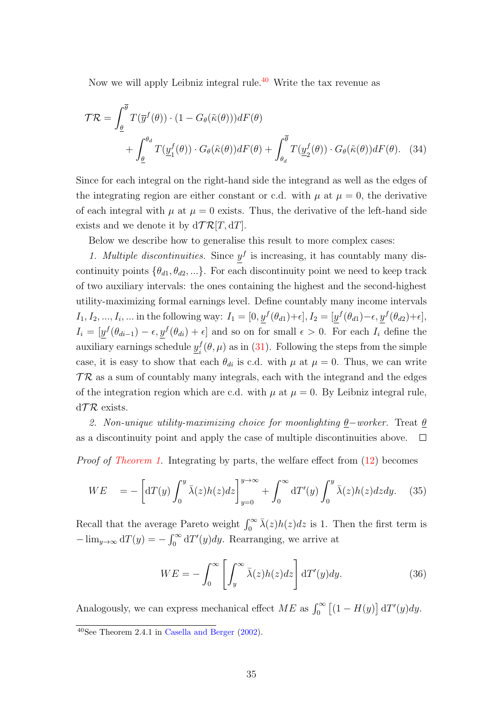Now we will apply Leibniz integral rule.<sup> $40$ </sup> Write the tax revenue as

$$
\mathcal{T}\mathcal{R} = \int_{\underline{\theta}}^{\overline{\theta}} T(\overline{y}^f(\theta)) \cdot (1 - G_{\theta}(\tilde{\kappa}(\theta)))dF(\theta) \n+ \int_{\underline{\theta}}^{\theta_d} T(\underline{y}_1^f(\theta)) \cdot G_{\theta}(\tilde{\kappa}(\theta))dF(\theta) + \int_{\theta_d}^{\overline{\theta}} T(\underline{y}_2^f(\theta)) \cdot G_{\theta}(\tilde{\kappa}(\theta))dF(\theta).
$$
 (34)

Since for each integral on the right-hand side the integrand as well as the edges of the integrating region are either constant or c.d. with  $\mu$  at  $\mu = 0$ , the derivative of each integral with  $\mu$  at  $\mu = 0$  exists. Thus, the derivative of the left-hand side exists and we denote it by  $d\mathcal{TR}[T, dT]$ .

Below we describe how to generalise this result to more complex cases:

1. Multiple discontinuities. Since  $y<sup>f</sup>$  is increasing, it has countably many discontinuity points  $\{\theta_{d1}, \theta_{d2}, ...\}$ . For each discontinuity point we need to keep track of two auxiliary intervals: the ones containing the highest and the second-highest utility-maximizing formal earnings level. Define countably many income intervals  $I_1, I_2, ..., I_i, ...$  in the following way:  $I_1 = [0, y^f(\theta_{d1}) + \epsilon], I_2 = [y^f(\theta_{d1}) - \epsilon, y^f(\theta_{d2}) + \epsilon],$  $I_i = [y^f(\theta_{di-1}) - \epsilon, y^f(\theta_{di}) + \epsilon]$  and so on for small  $\epsilon > 0$ . For each  $I_i$  define the auxiliary earnings schedule  $y_i^f$  $i_j^f(\theta, \mu)$  as in [\(31\)](#page-32-1). Following the steps from the simple case, it is easy to show that each  $\theta_{di}$  is c.d. with  $\mu$  at  $\mu = 0$ . Thus, we can write  $TR$  as a sum of countably many integrals, each with the integrand and the edges of the integration region which are c.d. with  $\mu$  at  $\mu = 0$ . By Leibniz integral rule,  $d\mathcal{T}\mathcal{R}$  exists.

2. Non-unique utility-maximizing choice for moonlighting  $\theta$ -worker. Treat  $\theta$ as a discontinuity point and apply the case of multiple discontinuities above.  $\Box$ 

Proof of [Theorem 1.](#page-17-1) Integrating by parts, the welfare effect from [\(12\)](#page-13-1) becomes

$$
WE = -\left[ dT(y) \int_0^y \bar{\lambda}(z) h(z) dz \right]_{y=0}^{y \to \infty} + \int_0^{\infty} dT'(y) \int_0^y \bar{\lambda}(z) h(z) dz dy. \quad (35)
$$

Recall that the average Pareto weight  $\int_0^\infty \bar{\lambda}(z)h(z)dz$  is 1. Then the first term is  $-\lim_{y\to\infty} dT(y) = -\int_0^\infty dT'(y)dy$ . Rearranging, we arrive at

$$
WE = -\int_0^\infty \left[ \int_y^\infty \bar{\lambda}(z) h(z) dz \right] dT'(y) dy.
$$
 (36)

Analogously, we can express mechanical effect  $ME$  as  $\int_0^\infty \left[ (1 - H(y)) \right] dT'(y) dy$ .

<span id="page-34-0"></span><sup>40</sup>See Theorem 2.4.1 in [Casella and Berger](#page-45-13) [\(2002\)](#page-45-13).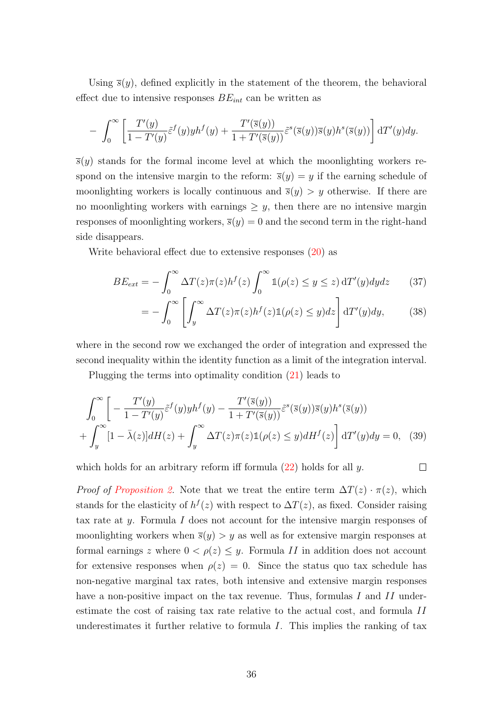Using  $\bar{s}(y)$ , defined explicitly in the statement of the theorem, the behavioral effect due to intensive responses  $BE_{int}$  can be written as

$$
- \int_0^\infty \left[ \frac{T'(y)}{1-T'(y)} \tilde{\varepsilon}^f(y) y h^f(y) + \frac{T'(\overline{s}(y))}{1+T'(\overline{s}(y))} \tilde{\varepsilon}^s(\overline{s}(y)) \overline{s}(y) h^s(\overline{s}(y)) \right] dT'(y) dy.
$$

 $\bar{s}(y)$  stands for the formal income level at which the moonlighting workers respond on the intensive margin to the reform:  $\bar{s}(y) = y$  if the earning schedule of moonlighting workers is locally continuous and  $\bar{s}(y) > y$  otherwise. If there are no moonlighting workers with earnings  $\geq y$ , then there are no intensive margin responses of moonlighting workers,  $\bar{s}(y) = 0$  and the second term in the right-hand side disappears.

Write behavioral effect due to extensive responses [\(20\)](#page-17-2) as

$$
BE_{ext} = -\int_0^\infty \Delta T(z)\pi(z)h^f(z)\int_0^\infty \mathbb{1}(\rho(z) \le y \le z) \,dT'(y)dydz \qquad (37)
$$

$$
= -\int_0^\infty \left[ \int_y^\infty \Delta T(z)\pi(z)h^f(z)\mathbb{1}(\rho(z) \le y)dz \right] dT'(y)dy,\tag{38}
$$

where in the second row we exchanged the order of integration and expressed the second inequality within the identity function as a limit of the integration interval.

Plugging the terms into optimality condition [\(21\)](#page-17-3) leads to

$$
\int_0^\infty \left[ -\frac{T'(y)}{1 - T'(y)} \tilde{\varepsilon}^f(y) y h^f(y) - \frac{T'(\bar{s}(y))}{1 + T'(\bar{s}(y))} \tilde{\varepsilon}^s(\bar{s}(y)) \tilde{s}(y) h^s(\bar{s}(y)) \right] + \int_y^\infty [1 - \bar{\lambda}(z)] dH(z) + \int_y^\infty \Delta T(z) \pi(z) \mathbb{1}(\rho(z) \le y) dH^f(z) \right] dT'(y) dy = 0, \quad (39)
$$

which holds for an arbitrary reform iff formula  $(22)$  holds for all y.

 $\Box$ 

*Proof of [Proposition 2.](#page-20-1)* Note that we treat the entire term  $\Delta T(z) \cdot \pi(z)$ , which stands for the elasticity of  $h^f(z)$  with respect to  $\Delta T(z)$ , as fixed. Consider raising tax rate at y. Formula I does not account for the intensive margin responses of moonlighting workers when  $\bar{s}(y) > y$  as well as for extensive margin responses at formal earnings z where  $0 < \rho(z) \leq y$ . Formula II in addition does not account for extensive responses when  $\rho(z) = 0$ . Since the status quo tax schedule has non-negative marginal tax rates, both intensive and extensive margin responses have a non-positive impact on the tax revenue. Thus, formulas  $I$  and  $II$  underestimate the cost of raising tax rate relative to the actual cost, and formula II underestimates it further relative to formula I. This implies the ranking of tax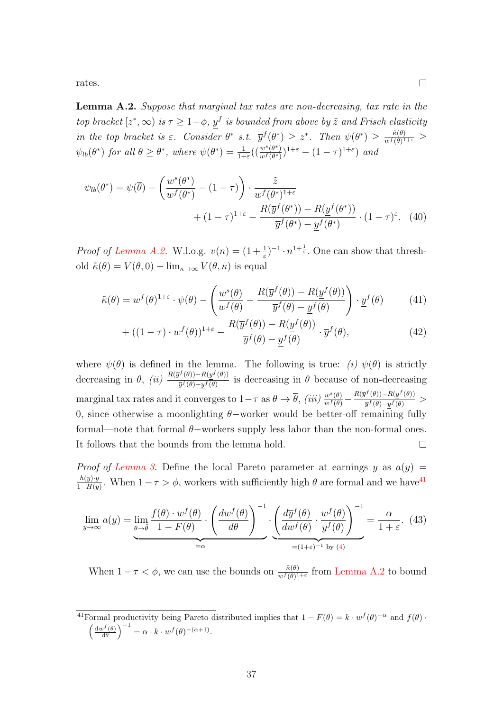rates.

<span id="page-36-0"></span>Lemma A.2. Suppose that marginal tax rates are non-decreasing, tax rate in the top bracket  $[z^*,\infty)$  is  $\tau \geq 1-\phi$ ,  $y^f$  is bounded from above by  $\tilde{z}$  and Frisch elasticity in the top bracket is  $\varepsilon$ . Consider  $\theta^*$  s.t.  $\overline{y}^f(\theta^*) \geq z^*$ . Then  $\psi(\theta^*) \geq \frac{\tilde{\kappa}(\theta)}{w^f(\theta^*)}$  $\frac{\kappa(\theta)}{w^f(\theta)^{1+\varepsilon}} \geq$  $\psi_{lb}(\theta^*)$  for all  $\theta \geq \theta^*$ , where  $\psi(\theta^*) = \frac{1}{1+\varepsilon}((\frac{w^s(\theta^*)}{w^f(\theta^*)})$  $\frac{w^s(\theta^*)}{w^f(\theta^*)}$ <sup>1+ε</sup> –  $(1-\tau)^{1+\varepsilon}$ ) and

$$
\psi_{lb}(\theta^*) = \psi(\overline{\theta}) - \left(\frac{w^s(\theta^*)}{w^f(\theta^*)} - (1-\tau)\right) \cdot \frac{\tilde{z}}{w^f(\theta^*)^{1+\varepsilon}} + (1-\tau)^{1+\varepsilon} - \frac{R(\overline{y}^f(\theta^*)) - R(\underline{y}^f(\theta^*))}{\overline{y}^f(\theta^*) - \underline{y}^f(\theta^*)} \cdot (1-\tau)^{\varepsilon}. \tag{40}
$$

*Proof of [Lemma A.2.](#page-36-0)* W.l.o.g.  $v(n) = (1 + \frac{1}{\varepsilon})^{-1} \cdot n^{1 + \frac{1}{\varepsilon}}$ . One can show that threshold  $\tilde{\kappa}(\theta) = V(\theta, 0) - \lim_{\kappa \to \infty} V(\theta, \kappa)$  is equal

$$
\tilde{\kappa}(\theta) = w^f(\theta)^{1+\varepsilon} \cdot \psi(\theta) - \left(\frac{w^s(\theta)}{w^f(\theta)} - \frac{R(\overline{y}^f(\theta)) - R(\underline{y}^f(\theta))}{\overline{y}^f(\theta) - \underline{y}^f(\theta)}\right) \cdot \underline{y}^f(\theta) \tag{41}
$$

$$
+ ((1 - \tau) \cdot w^f(\theta))^{1+\varepsilon} - \frac{R(\overline{y}^f(\theta)) - R(\underline{y}^f(\theta))}{\overline{y}^f(\theta) - \underline{y}^f(\theta)} \cdot \overline{y}^f(\theta), \tag{42}
$$

where  $\psi(\theta)$  is defined in the lemma. The following is true: (i)  $\psi(\theta)$  is strictly decreasing in  $\theta$ , (ii)  $\frac{R(\overline{y}^f(\theta)) - R(\underline{y}^f(\theta))}{\overline{y}^f(\theta) - y^f(\theta)}$  $\frac{\partial^{\alpha}(b)-\mu(y-\nu)}{\partial y^f(\theta)-y^f(\theta)}$  is decreasing in  $\theta$  because of non-decreasing marginal tax rates and it converges to  $1-\tau$  as  $\theta \to \overline{\theta}$ ,  $(iii) \frac{w^s(\theta)}{w^f(\theta)} - \frac{R(\overline{y}^f(\theta)) - R(\underline{y}^f(\theta))}{\overline{y}^f(\theta) - y^f(\theta)}$  $\frac{\partial f(\theta)-\eta(y^{\alpha}(\theta))}{\partial y^{\beta}(\theta)-y^{\beta}(\theta)}$  > 0, since otherwise a moonlighting  $\theta$ -worker would be better-off remaining fully formal—note that formal  $\theta$ –workers supply less labor than the non-formal ones. It follows that the bounds from the lemma hold.  $\Box$ 

*Proof of [Lemma 3.](#page-20-0)* Define the local Pareto parameter at earnings y as  $a(y) =$  $h(y)\cdot y$  $\frac{h(y)y}{1-H(y)}$ . When  $1-\tau > \phi$ , workers with sufficiently high  $\theta$  are formal and we have<sup>[41](#page-36-1)</sup>

$$
\lim_{y \to \infty} a(y) = \lim_{\theta \to \bar{\theta}} \frac{f(\theta) \cdot w^f(\theta)}{1 - F(\theta)} \cdot \left(\frac{dw^f(\theta)}{d\theta}\right)^{-1} \cdot \underbrace{\left(\frac{d\overline{y}^f(\theta)}{dw^f(\theta)} \cdot \frac{w^f(\theta)}{\overline{y}^f(\theta)}\right)^{-1}}_{=(1+\varepsilon)^{-1} \text{ by (4)}} = \frac{\alpha}{1+\varepsilon}.
$$
 (43)

When  $1 - \tau < \phi$ , we can use the bounds on  $\frac{\tilde{\kappa}(\theta)}{w^f(\theta)^{1+\varepsilon}}$  from [Lemma A.2](#page-36-0) to bound

<span id="page-36-1"></span><sup>&</sup>lt;sup>41</sup> Formal productivity being Pareto distributed implies that  $1 - F(\theta) = k \cdot w^f(\theta)^{-\alpha}$  and  $f(\theta)$ .  $\int \frac{d w^f(\theta)}{g(x)}$  $\left(\frac{v^f(\theta)}{d\theta}\right)^{-1} = \alpha \cdot k \cdot w^f(\theta)^{-(\alpha+1)}.$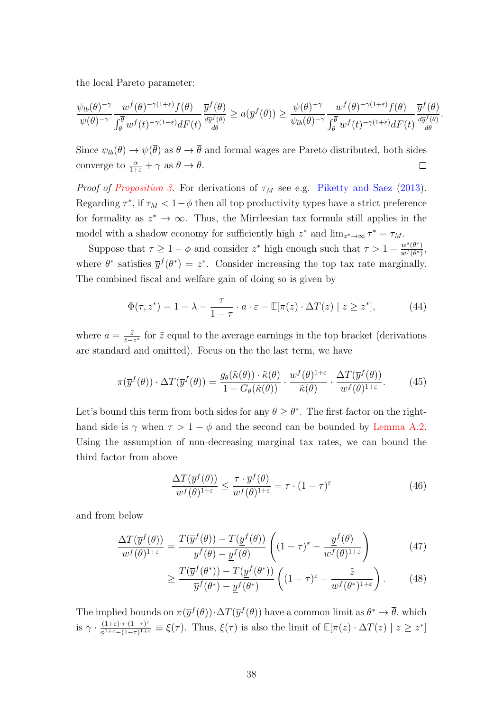the local Pareto parameter:

$$
\frac{\psi_{lb}(\theta)^{-\gamma}}{\psi(\theta)^{-\gamma}} \frac{w^f(\theta)^{-\gamma(1+\varepsilon)}f(\theta)}{\int_{\theta}^{\overline{\theta}} w^f(t)^{-\gamma(1+\varepsilon)}dF(t)} \frac{\overline{y}^f(\theta)}{\frac{d\overline{y}^f(\theta)}{d\theta}} \ge a(\overline{y}^f(\theta)) \ge \frac{\psi(\theta)^{-\gamma}}{\psi_{lb}(\theta)^{-\gamma}} \frac{w^f(\theta)^{-\gamma(1+\varepsilon)}f(\theta)}{\int_{\theta}^{\overline{\theta}} w^f(t)^{-\gamma(1+\varepsilon)}dF(t)} \frac{\overline{y}^f(\theta)}{\frac{d\overline{y}^f(\theta)}{d\theta}}.
$$

Since  $\psi_{lb}(\theta) \to \psi(\overline{\theta})$  as  $\theta \to \overline{\theta}$  and formal wages are Pareto distributed, both sides converge to  $\frac{\alpha}{1+\varepsilon} + \gamma$  as  $\theta \to \overline{\theta}$ .  $\Box$ 

*Proof of [Proposition 3.](#page-21-2)* For derivations of  $\tau_M$  see e.g. [Piketty and Saez](#page-48-3) [\(2013\)](#page-48-3). Regarding  $\tau^*$ , if  $\tau_M < 1 - \phi$  then all top productivity types have a strict preference for formality as  $z^* \to \infty$ . Thus, the Mirrleesian tax formula still applies in the model with a shadow economy for sufficiently high  $z^*$  and  $\lim_{z^* \to \infty} \tau^* = \tau_M$ .

Suppose that  $\tau \geq 1 - \phi$  and consider  $z^*$  high enough such that  $\tau > 1 - \frac{w^s(\theta^*)}{w^f(\theta^*)}$  $\frac{w^{\sigma}(\theta^{*})}{w^f(\theta^{*})},$ where  $\theta^*$  satisfies  $\overline{y}^f(\theta^*) = z^*$ . Consider increasing the top tax rate marginally. The combined fiscal and welfare gain of doing so is given by

$$
\Phi(\tau, z^*) = 1 - \lambda - \frac{\tau}{1 - \tau} \cdot a \cdot \varepsilon - \mathbb{E}[\pi(z) \cdot \Delta T(z) \mid z \ge z^*],\tag{44}
$$

where  $a=\frac{\bar{z}}{\bar{z}-\bar{z}}$  $\frac{\bar{z}}{\bar{z}-z^*}$  for  $\bar{z}$  equal to the average earnings in the top bracket (derivations are standard and omitted). Focus on the the last term, we have

$$
\pi(\overline{y}^f(\theta)) \cdot \Delta T(\overline{y}^f(\theta)) = \frac{g_\theta(\tilde{\kappa}(\theta)) \cdot \tilde{\kappa}(\theta)}{1 - G_\theta(\tilde{\kappa}(\theta))} \cdot \frac{w^f(\theta)^{1+\varepsilon}}{\tilde{\kappa}(\theta)} \cdot \frac{\Delta T(\overline{y}^f(\theta))}{w^f(\theta)^{1+\varepsilon}}.
$$
(45)

Let's bound this term from both sides for any  $\theta \geq \theta^*$ . The first factor on the righthand side is  $\gamma$  when  $\tau > 1 - \phi$  and the second can be bounded by [Lemma A.2.](#page-36-0) Using the assumption of non-decreasing marginal tax rates, we can bound the third factor from above

$$
\frac{\Delta T(\overline{y}^f(\theta))}{w^f(\theta)^{1+\varepsilon}} \le \frac{\tau \cdot \overline{y}^f(\theta)}{w^f(\theta)^{1+\varepsilon}} = \tau \cdot (1-\tau)^{\varepsilon} \tag{46}
$$

and from below

$$
\frac{\Delta T(\overline{y}^f(\theta))}{w^f(\theta)^{1+\varepsilon}} = \frac{T(\overline{y}^f(\theta)) - T(\underline{y}^f(\theta))}{\overline{y}^f(\theta) - \underline{y}^f(\theta)} \left( (1-\tau)^{\varepsilon} - \frac{\underline{y}^f(\theta)}{w^f(\theta)^{1+\varepsilon}} \right) \tag{47}
$$

$$
\geq \frac{T(\overline{y}^f(\theta^*)) - T(\underline{y}^f(\theta^*))}{\overline{y}^f(\theta^*) - \underline{y}^f(\theta^*)} \left( (1 - \tau)^{\varepsilon} - \frac{\tilde{z}}{w^f(\theta^*)^{1+\varepsilon}} \right). \tag{48}
$$

The implied bounds on  $\pi(\overline{y}^f(\theta))\cdot\Delta T(\overline{y}^f(\theta))$  have a common limit as  $\theta^* \to \overline{\theta}$ , which is  $\gamma \cdot \frac{(1+\varepsilon)\cdot \tau \cdot (1-\tau)^{\varepsilon}}{4^{1+\varepsilon}-(1-\tau)^{1+\varepsilon}}$  $\frac{(1+\varepsilon)\cdot\tau\cdot(1-\tau)^{\varepsilon}}{\phi^{1+\varepsilon}-(1-\tau)^{1+\varepsilon}} \equiv \xi(\tau)$ . Thus,  $\xi(\tau)$  is also the limit of  $\mathbb{E}[\pi(z)\cdot\Delta T(z) \mid z \geq z^*]$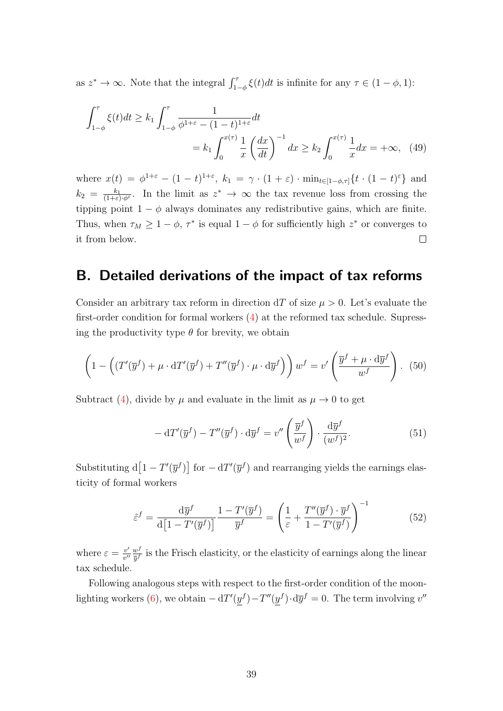as  $z^* \to \infty$ . Note that the integral  $\int_{1-\phi}^{\tau} \xi(t) dt$  is infinite for any  $\tau \in (1-\phi, 1)$ :

$$
\int_{1-\phi}^{\tau} \xi(t)dt \ge k_1 \int_{1-\phi}^{\tau} \frac{1}{\phi^{1+\epsilon} - (1-t)^{1+\epsilon}} dt
$$
  
=  $k_1 \int_0^{x(\tau)} \frac{1}{x} \left(\frac{dx}{dt}\right)^{-1} dx \ge k_2 \int_0^{x(\tau)} \frac{1}{x} dx = +\infty$ , (49)

where  $x(t) = \phi^{1+\varepsilon} - (1-t)^{1+\varepsilon}, k_1 = \gamma \cdot (1+\varepsilon) \cdot \min_{t \in [1-\phi,\tau]} \{t \cdot (1-t)^{\varepsilon}\}\$ and  $k_2 = \frac{k_1}{(1+\varepsilon)}$  $\frac{k_1}{(1+\varepsilon)\cdot\phi^{\varepsilon}}$ . In the limit as  $z^* \to \infty$  the tax revenue loss from crossing the tipping point  $1 - \phi$  always dominates any redistributive gains, which are finite. Thus, when  $\tau_M \geq 1 - \phi$ ,  $\tau^*$  is equal  $1 - \phi$  for sufficiently high  $z^*$  or converges to it from below.  $\Box$ 

## <span id="page-38-0"></span>B. Detailed derivations of the impact of tax reforms

Consider an arbitrary tax reform in direction  $dT$  of size  $\mu > 0$ . Let's evaluate the first-order condition for formal workers [\(4\)](#page-8-2) at the reformed tax schedule. Supressing the productivity type  $\theta$  for brevity, we obtain

$$
\left(1 - \left(\left(T'(\overline{y}^f) + \mu \cdot dT'(\overline{y}^f) + T''(\overline{y}^f) \cdot \mu \cdot d\overline{y}^f\right)\right) w^f = v' \left(\frac{\overline{y}^f + \mu \cdot d\overline{y}^f}{w^f}\right). (50)
$$

Subtract [\(4\)](#page-8-2), divide by  $\mu$  and evaluate in the limit as  $\mu \to 0$  to get

$$
- dT'(\overline{y}^f) - T''(\overline{y}^f) \cdot d\overline{y}^f = v''\left(\frac{\overline{y}^f}{w^f}\right) \cdot \frac{d\overline{y}^f}{(w^f)^2}.
$$
 (51)

Substituting  $d\left[1 - T'(\overline{y}^f)\right]$  for  $-dT'(\overline{y}^f)$  and rearranging yields the earnings elasticity of formal workers

$$
\tilde{\varepsilon}^f = \frac{\mathrm{d}\bar{y}^f}{\mathrm{d}\left[1 - T'(\bar{y}^f)\right]} \frac{1 - T'(\bar{y}^f)}{\bar{y}^f} = \left(\frac{1}{\varepsilon} + \frac{T''(\bar{y}^f) \cdot \bar{y}^f}{1 - T'(\bar{y}^f)}\right)^{-1} \tag{52}
$$

where  $\varepsilon = \frac{v'}{v'}$  $\frac{v'}{v''}\frac{w^f}{\overline{y}^f}$  $\frac{w^j}{\overline{y}^f}$  is the Frisch elasticity, or the elasticity of earnings along the linear tax schedule.

Following analogous steps with respect to the first-order condition of the moon-lighting workers [\(6\)](#page-9-1), we obtain  $-\mathrm{d}T'(y^f) - T''(y^f) \cdot \mathrm{d}\overline{y}^f = 0$ . The term involving v'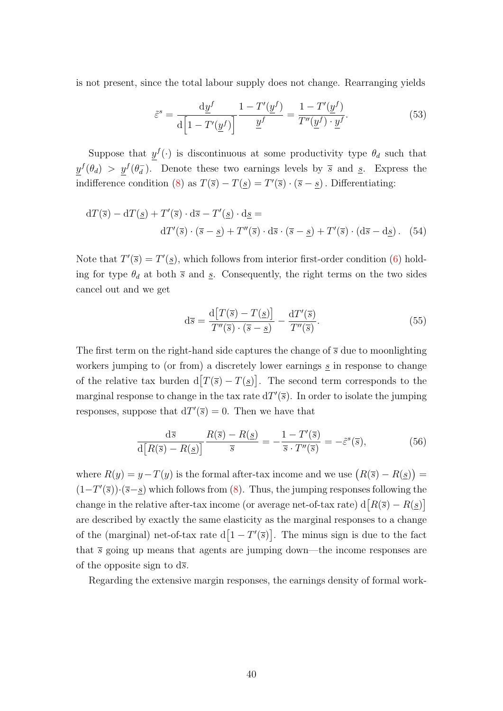is not present, since the total labour supply does not change. Rearranging yields

$$
\tilde{\varepsilon}^s = \frac{\mathrm{d}y^f}{\mathrm{d}\left[1 - T'(\underline{y}^f)\right]} \frac{1 - T'(\underline{y}^f)}{\underline{y}^f} = \frac{1 - T'(\underline{y}^f)}{T''(\underline{y}^f) \cdot \underline{y}^f}.\tag{53}
$$

Suppose that  $y^f(\cdot)$  is discontinuous at some productivity type  $\theta_d$  such that  $y^f(\theta_d) > y^f(\theta_d)$  $\overline{d}$ ). Denote these two earnings levels by  $\overline{s}$  and <u>s</u>. Express the indifference condition [\(8\)](#page-10-3) as  $T(\bar{s}) - T(\underline{s}) = T'(\bar{s}) \cdot (\bar{s} - \underline{s})$ . Differentiating:

$$
dT(\overline{s}) - dT(\underline{s}) + T'(\overline{s}) \cdot d\overline{s} - T'(\underline{s}) \cdot d\underline{s} =
$$
  

$$
dT'(\overline{s}) \cdot (\overline{s} - \underline{s}) + T''(\overline{s}) \cdot d\overline{s} \cdot (\overline{s} - \underline{s}) + T'(\overline{s}) \cdot (d\overline{s} - d\underline{s}) .
$$
 (54)

Note that  $T'(\bar{s}) = T'(\underline{s})$ , which follows from interior first-order condition [\(6\)](#page-9-1) holding for type  $\theta_d$  at both  $\bar{s}$  and  $\underline{s}$ . Consequently, the right terms on the two sides cancel out and we get

$$
d\overline{s} = \frac{d[T(\overline{s}) - T(\underline{s})]}{T''(\overline{s}) \cdot (\overline{s} - \underline{s})} - \frac{dT'(\overline{s})}{T''(\overline{s})}.
$$
\n(55)

The first term on the right-hand side captures the change of  $\bar{s}$  due to moonlighting workers jumping to (or from) a discretely lower earnings  $s$  in response to change of the relative tax burden  $d[T(\bar{s}) - T(\underline{s})]$ . The second term corresponds to the marginal response to change in the tax rate  $dT'(\overline{s})$ . In order to isolate the jumping responses, suppose that  $dT(\overline{s}) = 0$ . Then we have that

$$
\frac{\mathrm{d}\bar{s}}{\mathrm{d}\left[R(\bar{s}) - R(\underline{s})\right]} \frac{R(\bar{s}) - R(\underline{s})}{\bar{s}} = -\frac{1 - T'(\bar{s})}{\bar{s} \cdot T''(\bar{s})} = -\tilde{\varepsilon}^s(\bar{s}),\tag{56}
$$

where  $R(y) = y - T(y)$  is the formal after-tax income and we use  $(R(\bar{s}) - R(\underline{s})) =$  $(1-T'(\overline{s}))\cdot(\overline{s}-s)$  which follows from [\(8\)](#page-10-3). Thus, the jumping responses following the change in the relative after-tax income (or average net-of-tax rate)  $d[R(\bar{s}) - R(\underline{s})]$ are described by exactly the same elasticity as the marginal responses to a change of the (marginal) net-of-tax rate  $d[1 - T(\overline{s})]$ . The minus sign is due to the fact that  $\bar{s}$  going up means that agents are jumping down—the income responses are of the opposite sign to  $d\overline{s}$ .

Regarding the extensive margin responses, the earnings density of formal work-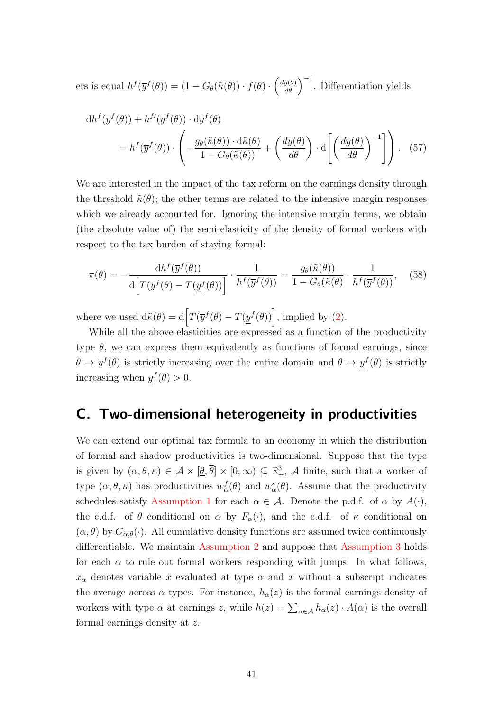ers is equal  $h^f(\overline{y}^f(\theta)) = (1 - G_{\theta}(\tilde{\kappa}(\theta)) \cdot f(\theta) \cdot \left(\frac{d\overline{y}(\theta)}{d\theta}\right)^{-1}$ . Differentiation yields

$$
dh^f(\overline{y}^f(\theta)) + h^{f'}(\overline{y}^f(\theta)) \cdot d\overline{y}^f(\theta)
$$
  
=  $h^f(\overline{y}^f(\theta)) \cdot \left( -\frac{g_\theta(\tilde{\kappa}(\theta)) \cdot d\tilde{\kappa}(\theta)}{1 - G_\theta(\tilde{\kappa}(\theta))} + \left( \frac{d\overline{y}(\theta)}{d\theta} \right) \cdot d \left[ \left( \frac{d\overline{y}(\theta)}{d\theta} \right)^{-1} \right] \right).$  (57)

We are interested in the impact of the tax reform on the earnings density through the threshold  $\tilde{\kappa}(\theta)$ ; the other terms are related to the intensive margin responses which we already accounted for. Ignoring the intensive margin terms, we obtain (the absolute value of) the semi-elasticity of the density of formal workers with respect to the tax burden of staying formal:

$$
\pi(\theta) = -\frac{\mathrm{d}h^f(\overline{y}^f(\theta))}{\mathrm{d}\left[T(\overline{y}^f(\theta) - T(\underline{y}^f(\theta))\right]} \cdot \frac{1}{h^f(\overline{y}^f(\theta))} = \frac{g_\theta(\tilde{\kappa}(\theta))}{1 - G_\theta(\tilde{\kappa}(\theta)} \cdot \frac{1}{h^f(\overline{y}^f(\theta))},\tag{58}
$$

where we used  $d\tilde{\kappa}(\theta) = d\left[T(\bar{y}^f(\theta) - T(y^f(\theta))\right],$  implied by [\(2\)](#page-8-3).

While all the above elasticities are expressed as a function of the productivity type  $\theta$ , we can express them equivalently as functions of formal earnings, since  $\theta \mapsto \bar{y}^f(\theta)$  is strictly increasing over the entire domain and  $\theta \mapsto y^f(\theta)$  is strictly increasing when  $y^f(\theta) > 0$ .

# <span id="page-40-0"></span>C. Two-dimensional heterogeneity in productivities

We can extend our optimal tax formula to an economy in which the distribution of formal and shadow productivities is two-dimensional. Suppose that the type is given by  $(\alpha, \theta, \kappa) \in \mathcal{A} \times [\underline{\theta}, \overline{\theta}] \times [0, \infty) \subseteq \mathbb{R}^3_+$ , A finite, such that a worker of type  $(\alpha, \theta, \kappa)$  has productivities  $w^f_\alpha(\theta)$  and  $w^s_\alpha(\theta)$ . Assume that the productivity schedules satisfy [Assumption 1](#page-6-2) for each  $\alpha \in \mathcal{A}$ . Denote the p.d.f. of  $\alpha$  by  $A(\cdot)$ , the c.d.f. of  $\theta$  conditional on  $\alpha$  by  $F_{\alpha}(\cdot)$ , and the c.d.f. of  $\kappa$  conditional on  $(\alpha, \theta)$  by  $G_{\alpha,\theta}(\cdot)$ . All cumulative density functions are assumed twice continuously differentiable. We maintain [Assumption 2](#page-7-2) and suppose that [Assumption 3](#page-11-3) holds for each  $\alpha$  to rule out formal workers responding with jumps. In what follows,  $x_{\alpha}$  denotes variable x evaluated at type  $\alpha$  and x without a subscript indicates the average across  $\alpha$  types. For instance,  $h_{\alpha}(z)$  is the formal earnings density of workers with type  $\alpha$  at earnings z, while  $h(z) = \sum_{\alpha \in A} h_{\alpha}(z) \cdot A(\alpha)$  is the overall formal earnings density at z.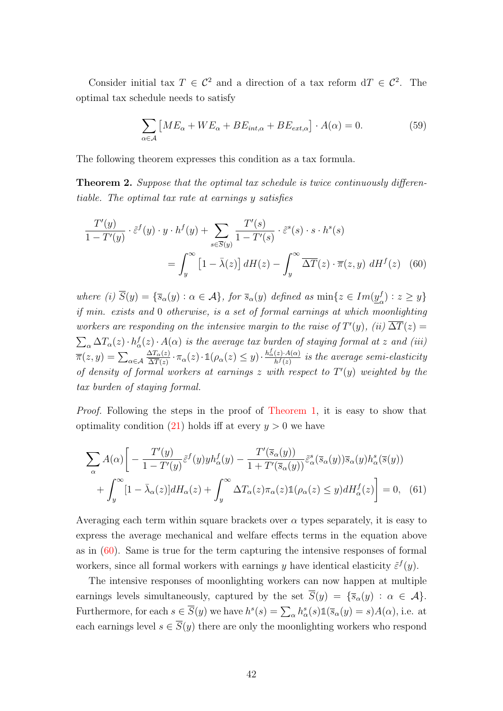Consider initial tax  $T \in \mathcal{C}^2$  and a direction of a tax reform  $dT \in \mathcal{C}^2$ . The optimal tax schedule needs to satisfy

<span id="page-41-0"></span>
$$
\sum_{\alpha \in \mathcal{A}} \left[ ME_{\alpha} + WE_{\alpha} + BE_{int, \alpha} + BE_{ext, \alpha} \right] \cdot A(\alpha) = 0. \tag{59}
$$

The following theorem expresses this condition as a tax formula.

Theorem 2. Suppose that the optimal tax schedule is twice continuously differentiable. The optimal tax rate at earnings y satisfies

$$
\frac{T'(y)}{1 - T'(y)} \cdot \tilde{\varepsilon}^f(y) \cdot y \cdot h^f(y) + \sum_{s \in \overline{S}(y)} \frac{T'(s)}{1 - T'(s)} \cdot \tilde{\varepsilon}^s(s) \cdot s \cdot h^s(s)
$$

$$
= \int_y^\infty \left[1 - \bar{\lambda}(z)\right] dH(z) - \int_y^\infty \overline{\Delta T}(z) \cdot \overline{\pi}(z, y) dH^f(z) \quad (60)
$$

where (i)  $\overline{S}(y) = {\overline{s}_{\alpha}(y) : \alpha \in \mathcal{A}}$ , for  $\overline{s}_{\alpha}(y)$  defined as  $\min\{z \in Im(y\}$  $\binom{f}{\alpha}$ :  $z \geq y$ } if min. exists and 0 otherwise, is a set of formal earnings at which moonlighting workers are responding on the intensive margin to the raise of  $T'(y)$ , (ii)  $\overline{\Delta T}(z) =$  $\sum_{\alpha} \Delta T_{\alpha}(z) \cdot h_{\alpha}^{f}(z) \cdot A(\alpha)$  is the average tax burden of staying formal at z and (iii)  $\overline{\pi}(z,y)=\sum_{\alpha\in\mathcal{A}}% \overline{\pi}z^{\alpha}y^{\beta}$  $\Delta T_\alpha(z)$  $\frac{\Delta T_{\alpha}(z)}{\Delta T(z)} \cdot \pi_{\alpha}(z) \cdot \mathbb{1}(\rho_{\alpha}(z) \leq y) \cdot \frac{h_{\alpha}^{f}(z) \cdot A(\alpha)}{h^{f}(z)}$  $\frac{(z) \cdot A(\alpha)}{h^f(z)}$  is the average semi-elasticity of density of formal workers at earnings z with respect to  $T'(y)$  weighted by the tax burden of staying formal.

Proof. Following the steps in the proof of [Theorem 1,](#page-17-1) it is easy to show that optimality condition [\(21\)](#page-17-3) holds iff at every  $y > 0$  we have

$$
\sum_{\alpha} A(\alpha) \left[ -\frac{T'(y)}{1 - T'(y)} \tilde{\varepsilon}^{f}(y) y h_{\alpha}^{f}(y) - \frac{T'(\bar{s}_{\alpha}(y))}{1 + T'(\bar{s}_{\alpha}(y))} \tilde{\varepsilon}_{\alpha}^{s}(\bar{s}_{\alpha}(y)) \bar{s}_{\alpha}(y) h_{\alpha}^{s}(\bar{s}(y)) + \int_{y}^{\infty} [1 - \bar{\lambda}_{\alpha}(z)] dH_{\alpha}(z) + \int_{y}^{\infty} \Delta T_{\alpha}(z) \pi_{\alpha}(z) \mathbb{1}(\rho_{\alpha}(z) \le y) dH_{\alpha}^{f}(z) \right] = 0, \quad (61)
$$

Averaging each term within square brackets over  $\alpha$  types separately, it is easy to express the average mechanical and welfare effects terms in the equation above as in [\(60\)](#page-41-0). Same is true for the term capturing the intensive responses of formal workers, since all formal workers with earnings y have identical elasticity  $\tilde{\varepsilon}^{f}(y)$ .

The intensive responses of moonlighting workers can now happen at multiple earnings levels simultaneously, captured by the set  $\overline{S}(y) = {\overline{s}_{\alpha}}(y) : \alpha \in \mathcal{A}$ . Furthermore, for each  $s \in \overline{S}(y)$  we have  $h^s(s) = \sum_{\alpha} h^s_{\alpha}(s) \mathbb{1}(\overline{s}_{\alpha}(y) = s) A(\alpha)$ , i.e. at each earnings level  $s \in \overline{S}(y)$  there are only the moonlighting workers who respond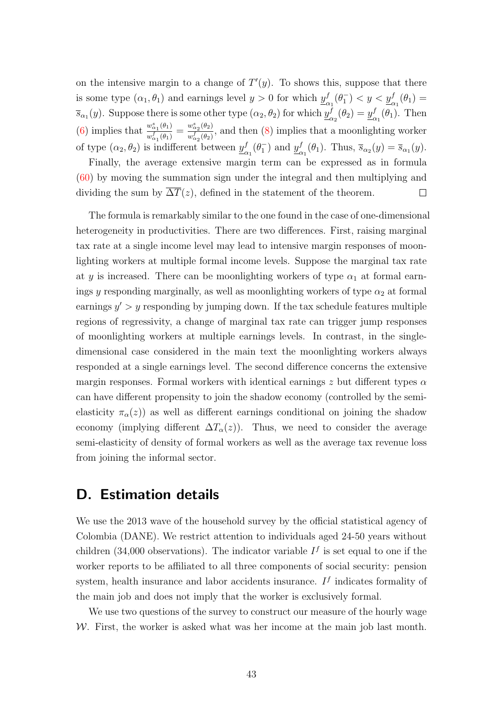on the intensive margin to a change of  $T'(y)$ . To shows this, suppose that there is some type  $(\alpha_1, \theta_1)$  and earnings level  $y > 0$  for which  $y_c^f$  $\frac{f}{\alpha_1}(\theta_1^-) < y < \underline{y}_{\alpha_1}^f(\theta_1) =$  $\overline{s}_{\alpha_1}(y)$ . Suppose there is some other type  $(\alpha_2, \theta_2)$  for which  $y^f_{\alpha_1}(y)$  $\frac{d}{dx}(\theta_2) = \underline{y}_c^f$  $\frac{f}{\alpha_1}(\theta_1)$ . Then [\(6\)](#page-9-1) implies that  $\frac{w_{\alpha_1}^s(\theta_1)}{f(\theta_1)}$  $\frac{w_{\alpha_1}^s(\theta_1)}{w_{\alpha_1}^f(\theta_1)} = \frac{w_{\alpha_2}^s(\theta_2)}{w_{\alpha_2}^f(\theta_2)}$  $\frac{d^{2} \alpha_{2} (b_{2})}{d^{2} \alpha_{2} (b_{2})}$ , and then [\(8\)](#page-10-3) implies that a moonlighting worker of type  $(\alpha_2, \theta_2)$  is indifferent between  $y^f_\alpha$  $\frac{f}{\alpha_1}(\theta_1^-)$  and  $\underline{y}_c^f$  $\overline{s}_{\alpha_1}(\theta_1)$ . Thus,  $\overline{s}_{\alpha_2}(y) = \overline{s}_{\alpha_1}(y)$ .

Finally, the average extensive margin term can be expressed as in formula [\(60\)](#page-41-0) by moving the summation sign under the integral and then multiplying and dividing the sum by  $\overline{\Delta T}(z)$ , defined in the statement of the theorem.  $\Box$ 

The formula is remarkably similar to the one found in the case of one-dimensional heterogeneity in productivities. There are two differences. First, raising marginal tax rate at a single income level may lead to intensive margin responses of moonlighting workers at multiple formal income levels. Suppose the marginal tax rate at y is increased. There can be moonlighting workers of type  $\alpha_1$  at formal earnings y responding marginally, as well as moonlighting workers of type  $\alpha_2$  at formal earnings  $y' > y$  responding by jumping down. If the tax schedule features multiple regions of regressivity, a change of marginal tax rate can trigger jump responses of moonlighting workers at multiple earnings levels. In contrast, in the singledimensional case considered in the main text the moonlighting workers always responded at a single earnings level. The second difference concerns the extensive margin responses. Formal workers with identical earnings z but different types  $\alpha$ can have different propensity to join the shadow economy (controlled by the semielasticity  $\pi_{\alpha}(z)$  as well as different earnings conditional on joining the shadow economy (implying different  $\Delta T_{\alpha}(z)$ ). Thus, we need to consider the average semi-elasticity of density of formal workers as well as the average tax revenue loss from joining the informal sector.

## <span id="page-42-0"></span>D. Estimation details

We use the 2013 wave of the household survey by the official statistical agency of Colombia (DANE). We restrict attention to individuals aged 24-50 years without children (34,000 observations). The indicator variable  $I<sup>f</sup>$  is set equal to one if the worker reports to be affiliated to all three components of social security: pension system, health insurance and labor accidents insurance.  $I<sup>f</sup>$  indicates formality of the main job and does not imply that the worker is exclusively formal.

We use two questions of the survey to construct our measure of the hourly wage W. First, the worker is asked what was her income at the main job last month.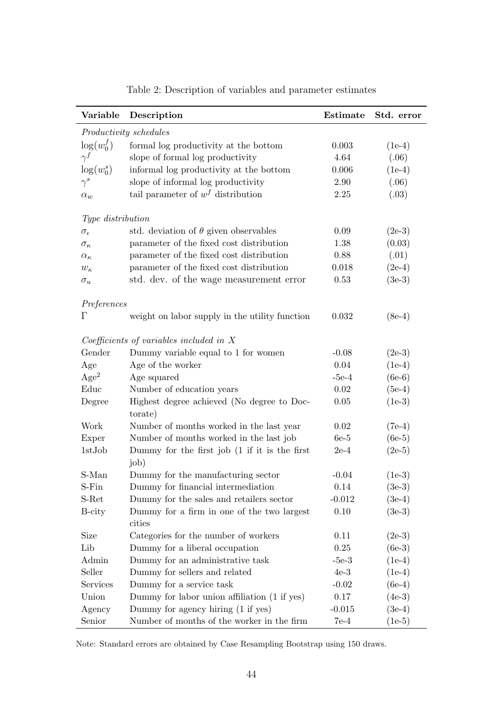<span id="page-43-0"></span>

| Variable                                    | Description                                           | Estimate | Std. error |  |  |  |
|---------------------------------------------|-------------------------------------------------------|----------|------------|--|--|--|
| Productivity schedules                      |                                                       |          |            |  |  |  |
| $\log(w_0^f)$                               | formal log productivity at the bottom                 | 0.003    | $(1e-4)$   |  |  |  |
| $\gamma^f$                                  | slope of formal log productivity                      | 4.64     | (.06)      |  |  |  |
| $\log(w_0^s)$                               | informal log productivity at the bottom               | 0.006    | $(1e-4)$   |  |  |  |
| $\gamma^s$                                  | slope of informal log productivity                    | 2.90     | (.06)      |  |  |  |
| $\alpha_w$                                  | tail parameter of $wf$ distribution                   | 2.25     | (.03)      |  |  |  |
|                                             | Type distribution                                     |          |            |  |  |  |
| $\sigma_{\epsilon}$                         | std. deviation of $\theta$ given observables          | 0.09     | $(2e-3)$   |  |  |  |
| $\sigma_{\kappa}$                           | parameter of the fixed cost distribution              | 1.38     | (0.03)     |  |  |  |
| $\alpha_{\kappa}$                           | parameter of the fixed cost distribution              | 0.88     | (.01)      |  |  |  |
| $w_{\kappa}$                                | parameter of the fixed cost distribution              | 0.018    | $(2e-4)$   |  |  |  |
| $\sigma_u$                                  | std. dev. of the wage measurement error               | 0.53     | $(3e-3)$   |  |  |  |
| Preferences                                 |                                                       |          |            |  |  |  |
| Γ                                           | weight on labor supply in the utility function        | 0.032    | $(8e-4)$   |  |  |  |
| $Coefficients$ of variables included in $X$ |                                                       |          |            |  |  |  |
| Gender                                      | Dummy variable equal to 1 for women                   | $-0.08$  | $(2e-3)$   |  |  |  |
| Age                                         | Age of the worker                                     | 0.04     | $(1e-4)$   |  |  |  |
| Age <sup>2</sup>                            | Age squared                                           | $-5e-4$  | $(6e-6)$   |  |  |  |
| Educ                                        | Number of education years                             | 0.02     | $(5e-4)$   |  |  |  |
| Degree                                      | Highest degree achieved (No degree to Doc-<br>torate) | 0.05     | $(1e-3)$   |  |  |  |
| Work                                        | Number of months worked in the last year              | 0.02     | $(7e-4)$   |  |  |  |
| Exper                                       | Number of months worked in the last job               | $6e-5$   | $(6e-5)$   |  |  |  |
| 1stJob                                      | Dummy for the first job (1 if it is the first         | $2e-4$   | $(2e-5)$   |  |  |  |
|                                             | job)                                                  |          |            |  |  |  |
| S-Man                                       | Dummy for the manufacturing sector                    | $-0.04$  | $(1e-3)$   |  |  |  |
| S-Fin                                       | Dummy for financial intermediation                    | 0.14     | $(3e-3)$   |  |  |  |
| S-Ret                                       | Dummy for the sales and retailers sector              | $-0.012$ | $(3e-4)$   |  |  |  |
| B-city                                      | Dummy for a firm in one of the two largest<br>cities  | 0.10     | $(3e-3)$   |  |  |  |
| Size                                        | Categories for the number of workers                  | 0.11     | $(2e-3)$   |  |  |  |
| Lib                                         | Dummy for a liberal occupation                        | 0.25     | $(6e-3)$   |  |  |  |
| Admin                                       | Dummy for an administrative task                      | $-5e-3$  | $(1e-4)$   |  |  |  |
| Seller                                      | Dummy for sellers and related                         | $4e-3$   | $(1e-4)$   |  |  |  |
| Services                                    | Dummy for a service task                              | $-0.02$  | $(6e-4)$   |  |  |  |
| Union                                       | Dummy for labor union affiliation (1 if yes)          | 0.17     | $(4e-3)$   |  |  |  |
| Agency                                      | Dummy for agency hiring (1 if yes)                    | $-0.015$ | $(3e-4)$   |  |  |  |
| Senior                                      | Number of months of the worker in the firm            | $7e-4$   | $(1e-5)$   |  |  |  |

Table 2: Description of variables and parameter estimates

Note: Standard errors are obtained by Case Resampling Bootstrap using 150 draws.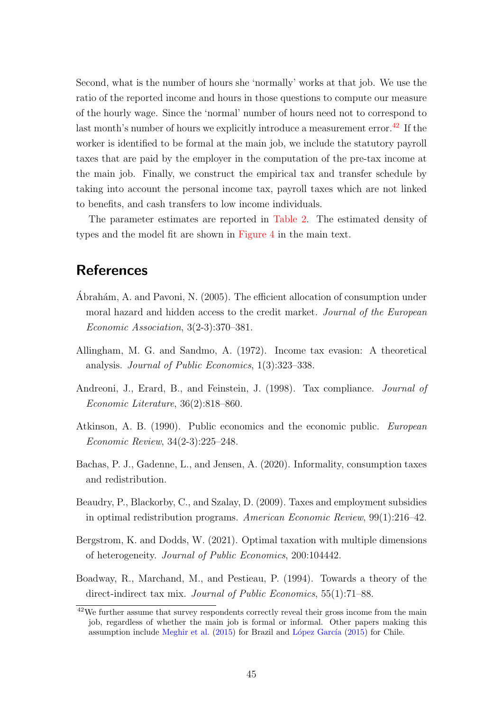Second, what is the number of hours she 'normally' works at that job. We use the ratio of the reported income and hours in those questions to compute our measure of the hourly wage. Since the 'normal' number of hours need not to correspond to last month's number of hours we explicitly introduce a measurement error.<sup>[42](#page-44-8)</sup> If the worker is identified to be formal at the main job, we include the statutory payroll taxes that are paid by the employer in the computation of the pre-tax income at the main job. Finally, we construct the empirical tax and transfer schedule by taking into account the personal income tax, payroll taxes which are not linked to benefits, and cash transfers to low income individuals.

The parameter estimates are reported in [Table 2.](#page-43-0) The estimated density of types and the model fit are shown in [Figure 4](#page-26-0) in the main text.

# **References**

- <span id="page-44-7"></span>Abrahám, A. and Pavoni, N. (2005). The efficient allocation of consumption under moral hazard and hidden access to the credit market. Journal of the European Economic Association, 3(2-3):370–381.
- <span id="page-44-2"></span>Allingham, M. G. and Sandmo, A. (1972). Income tax evasion: A theoretical analysis. Journal of Public Economics, 1(3):323–338.
- <span id="page-44-3"></span>Andreoni, J., Erard, B., and Feinstein, J. (1998). Tax compliance. *Journal of* Economic Literature, 36(2):818–860.
- <span id="page-44-6"></span>Atkinson, A. B. (1990). Public economics and the economic public. European Economic Review, 34(2-3):225–248.
- <span id="page-44-4"></span>Bachas, P. J., Gadenne, L., and Jensen, A. (2020). Informality, consumption taxes and redistribution.
- <span id="page-44-1"></span>Beaudry, P., Blackorby, C., and Szalay, D. (2009). Taxes and employment subsidies in optimal redistribution programs. American Economic Review, 99(1):216–42.
- <span id="page-44-0"></span>Bergstrom, K. and Dodds, W. (2021). Optimal taxation with multiple dimensions of heterogeneity. Journal of Public Economics, 200:104442.
- <span id="page-44-5"></span>Boadway, R., Marchand, M., and Pestieau, P. (1994). Towards a theory of the direct-indirect tax mix. Journal of Public Economics, 55(1):71–88.

<span id="page-44-8"></span> $42$ We further assume that survey respondents correctly reveal their gross income from the main job, regardless of whether the main job is formal or informal. Other papers making this assumption include [Meghir et al.](#page-47-12) [\(2015\)](#page-47-13) for Brazil and López García (2015) for Chile.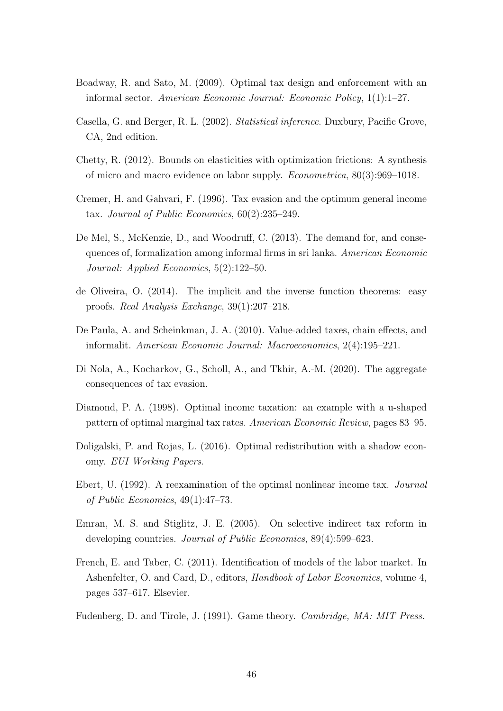- <span id="page-45-4"></span>Boadway, R. and Sato, M. (2009). Optimal tax design and enforcement with an informal sector. American Economic Journal: Economic Policy, 1(1):1–27.
- <span id="page-45-13"></span>Casella, G. and Berger, R. L. (2002). Statistical inference. Duxbury, Pacific Grove, CA, 2nd edition.
- <span id="page-45-9"></span>Chetty, R. (2012). Bounds on elasticities with optimization frictions: A synthesis of micro and macro evidence on labor supply. Econometrica, 80(3):969–1018.
- <span id="page-45-1"></span>Cremer, H. and Gahvari, F. (1996). Tax evasion and the optimum general income tax. Journal of Public Economics, 60(2):235–249.
- <span id="page-45-7"></span>De Mel, S., McKenzie, D., and Woodruff, C. (2013). The demand for, and consequences of, formalization among informal firms in sri lanka. American Economic Journal: Applied Economics, 5(2):122–50.
- <span id="page-45-12"></span>de Oliveira, O. (2014). The implicit and the inverse function theorems: easy proofs. Real Analysis Exchange, 39(1):207–218.
- <span id="page-45-5"></span>De Paula, A. and Scheinkman, J. A. (2010). Value-added taxes, chain effects, and informalit. American Economic Journal: Macroeconomics, 2(4):195–221.
- <span id="page-45-2"></span>Di Nola, A., Kocharkov, G., Scholl, A., and Tkhir, A.-M. (2020). The aggregate consequences of tax evasion.
- <span id="page-45-6"></span>Diamond, P. A. (1998). Optimal income taxation: an example with a u-shaped pattern of optimal marginal tax rates. American Economic Review, pages 83–95.
- <span id="page-45-0"></span>Doligalski, P. and Rojas, L. (2016). Optimal redistribution with a shadow economy. EUI Working Papers.
- <span id="page-45-8"></span>Ebert, U. (1992). A reexamination of the optimal nonlinear income tax. Journal of Public Economics, 49(1):47–73.
- <span id="page-45-3"></span>Emran, M. S. and Stiglitz, J. E. (2005). On selective indirect tax reform in developing countries. Journal of Public Economics, 89(4):599–623.
- <span id="page-45-10"></span>French, E. and Taber, C. (2011). Identification of models of the labor market. In Ashenfelter, O. and Card, D., editors, Handbook of Labor Economics, volume 4, pages 537–617. Elsevier.
- <span id="page-45-11"></span>Fudenberg, D. and Tirole, J. (1991). Game theory. Cambridge, MA: MIT Press.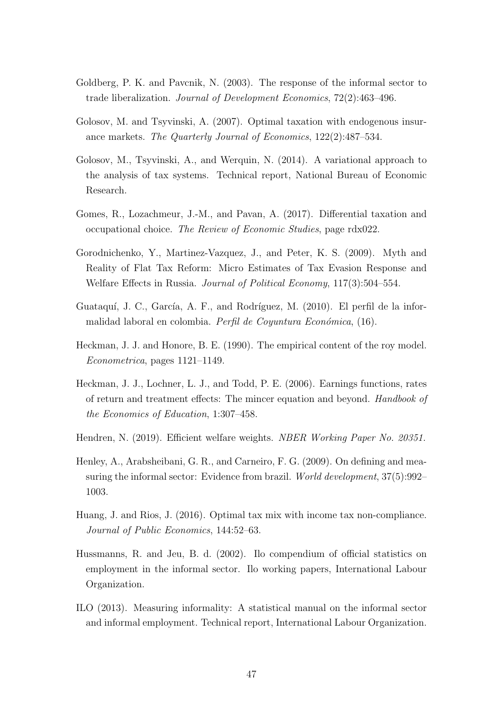- <span id="page-46-9"></span>Goldberg, P. K. and Pavcnik, N. (2003). The response of the informal sector to trade liberalization. Journal of Development Economics, 72(2):463–496.
- <span id="page-46-5"></span>Golosov, M. and Tsyvinski, A. (2007). Optimal taxation with endogenous insurance markets. The Quarterly Journal of Economics, 122(2):487–534.
- <span id="page-46-6"></span>Golosov, M., Tsyvinski, A., and Werquin, N. (2014). A variational approach to the analysis of tax systems. Technical report, National Bureau of Economic Research.
- <span id="page-46-3"></span>Gomes, R., Lozachmeur, J.-M., and Pavan, A. (2017). Differential taxation and occupational choice. The Review of Economic Studies, page rdx022.
- <span id="page-46-0"></span>Gorodnichenko, Y., Martinez-Vazquez, J., and Peter, K. S. (2009). Myth and Reality of Flat Tax Reform: Micro Estimates of Tax Evasion Response and Welfare Effects in Russia. Journal of Political Economy, 117(3):504–554.
- <span id="page-46-10"></span>Guataquí, J. C., García, A. F., and Rodríguez, M. (2010). El perfil de la informalidad laboral en colombia. *Perfil de Coyuntura Económica*,  $(16)$ .
- <span id="page-46-12"></span>Heckman, J. J. and Honore, B. E. (1990). The empirical content of the roy model. Econometrica, pages 1121–1149.
- <span id="page-46-11"></span>Heckman, J. J., Lochner, L. J., and Todd, P. E. (2006). Earnings functions, rates of return and treatment effects: The mincer equation and beyond. Handbook of the Economics of Education, 1:307–458.
- <span id="page-46-7"></span>Hendren, N. (2019). Efficient welfare weights. NBER Working Paper No. 20351.
- <span id="page-46-2"></span>Henley, A., Arabsheibani, G. R., and Carneiro, F. G. (2009). On defining and measuring the informal sector: Evidence from brazil. World development, 37(5):992– 1003.
- <span id="page-46-4"></span>Huang, J. and Rios, J. (2016). Optimal tax mix with income tax non-compliance. Journal of Public Economics, 144:52–63.
- <span id="page-46-1"></span>Hussmanns, R. and Jeu, B. d. (2002). Ilo compendium of official statistics on employment in the informal sector. Ilo working papers, International Labour Organization.
- <span id="page-46-8"></span>ILO (2013). Measuring informality: A statistical manual on the informal sector and informal employment. Technical report, International Labour Organization.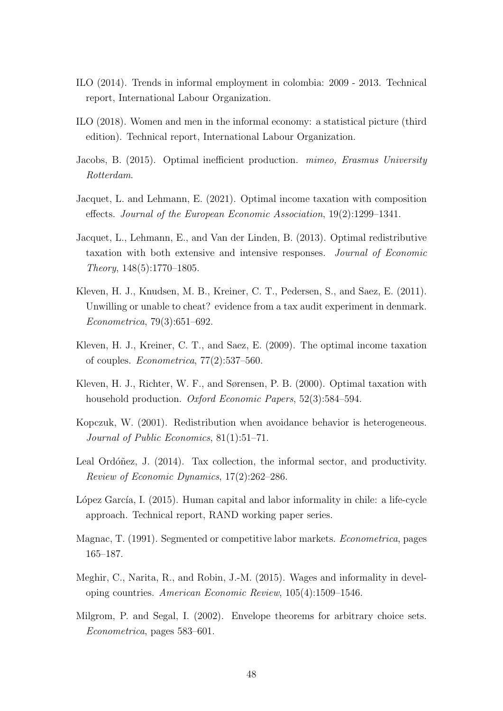- <span id="page-47-11"></span>ILO (2014). Trends in informal employment in colombia: 2009 - 2013. Technical report, International Labour Organization.
- <span id="page-47-0"></span>ILO (2018). Women and men in the informal economy: a statistical picture (third edition). Technical report, International Labour Organization.
- <span id="page-47-5"></span>Jacobs, B. (2015). Optimal inefficient production. mimeo, Erasmus University Rotterdam.
- <span id="page-47-9"></span>Jacquet, L. and Lehmann, E. (2021). Optimal income taxation with composition effects. Journal of the European Economic Association, 19(2):1299–1341.
- <span id="page-47-10"></span>Jacquet, L., Lehmann, E., and Van der Linden, B. (2013). Optimal redistributive taxation with both extensive and intensive responses. Journal of Economic Theory, 148(5):1770–1805.
- <span id="page-47-1"></span>Kleven, H. J., Knudsen, M. B., Kreiner, C. T., Pedersen, S., and Saez, E. (2011). Unwilling or unable to cheat? evidence from a tax audit experiment in denmark. Econometrica, 79(3):651–692.
- <span id="page-47-4"></span>Kleven, H. J., Kreiner, C. T., and Saez, E. (2009). The optimal income taxation of couples. Econometrica, 77(2):537–560.
- <span id="page-47-6"></span>Kleven, H. J., Richter, W. F., and Sørensen, P. B. (2000). Optimal taxation with household production. *Oxford Economic Papers*, 52(3):584–594.
- <span id="page-47-2"></span>Kopczuk, W. (2001). Redistribution when avoidance behavior is heterogeneous. Journal of Public Economics, 81(1):51–71.
- <span id="page-47-3"></span>Leal Ordóñez, J.  $(2014)$ . Tax collection, the informal sector, and productivity. Review of Economic Dynamics, 17(2):262–286.
- <span id="page-47-13"></span>López García, I. (2015). Human capital and labor informality in chile: a life-cycle approach. Technical report, RAND working paper series.
- <span id="page-47-7"></span>Magnac, T. (1991). Segmented or competitive labor markets. Econometrica, pages 165–187.
- <span id="page-47-12"></span>Meghir, C., Narita, R., and Robin, J.-M. (2015). Wages and informality in developing countries. American Economic Review, 105(4):1509–1546.
- <span id="page-47-8"></span>Milgrom, P. and Segal, I. (2002). Envelope theorems for arbitrary choice sets. Econometrica, pages 583–601.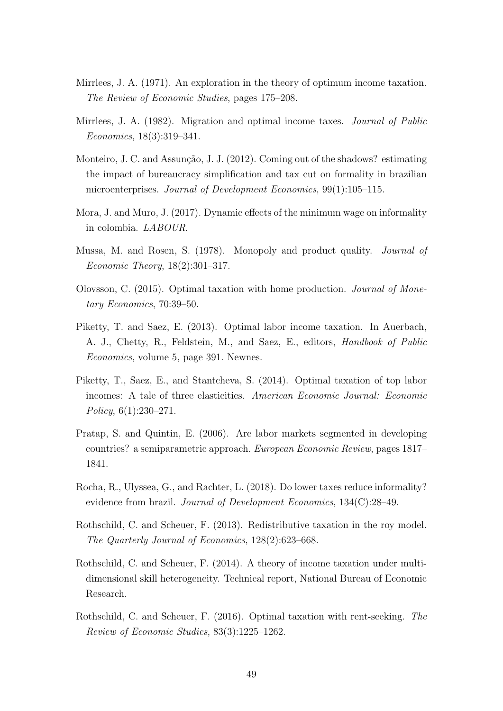- <span id="page-48-0"></span>Mirrlees, J. A. (1971). An exploration in the theory of optimum income taxation. The Review of Economic Studies, pages 175–208.
- <span id="page-48-9"></span>Mirrlees, J. A. (1982). Migration and optimal income taxes. Journal of Public Economics, 18(3):319–341.
- <span id="page-48-1"></span>Monteiro, J. C. and Assunção, J. J. (2012). Coming out of the shadows? estimating the impact of bureaucracy simplification and tax cut on formality in brazilian microenterprises. Journal of Development Economics, 99(1):105–115.
- <span id="page-48-10"></span>Mora, J. and Muro, J. (2017). Dynamic effects of the minimum wage on informality in colombia. LABOUR.
- <span id="page-48-8"></span>Mussa, M. and Rosen, S. (1978). Monopoly and product quality. Journal of *Economic Theory*,  $18(2):301-317$ .
- <span id="page-48-6"></span>Olovsson, C. (2015). Optimal taxation with home production. Journal of Monetary Economics, 70:39–50.
- <span id="page-48-3"></span>Piketty, T. and Saez, E. (2013). Optimal labor income taxation. In Auerbach, A. J., Chetty, R., Feldstein, M., and Saez, E., editors, Handbook of Public Economics, volume 5, page 391. Newnes.
- <span id="page-48-4"></span>Piketty, T., Saez, E., and Stantcheva, S. (2014). Optimal taxation of top labor incomes: A tale of three elasticities. American Economic Journal: Economic Policy, 6(1):230–271.
- <span id="page-48-7"></span>Pratap, S. and Quintin, E. (2006). Are labor markets segmented in developing countries? a semiparametric approach. European Economic Review, pages 1817– 1841.
- <span id="page-48-2"></span>Rocha, R., Ulyssea, G., and Rachter, L. (2018). Do lower taxes reduce informality? evidence from brazil. Journal of Development Economics, 134(C):28–49.
- <span id="page-48-12"></span>Rothschild, C. and Scheuer, F. (2013). Redistributive taxation in the roy model. The Quarterly Journal of Economics, 128(2):623–668.
- <span id="page-48-5"></span>Rothschild, C. and Scheuer, F. (2014). A theory of income taxation under multidimensional skill heterogeneity. Technical report, National Bureau of Economic Research.
- <span id="page-48-11"></span>Rothschild, C. and Scheuer, F. (2016). Optimal taxation with rent-seeking. The Review of Economic Studies, 83(3):1225–1262.